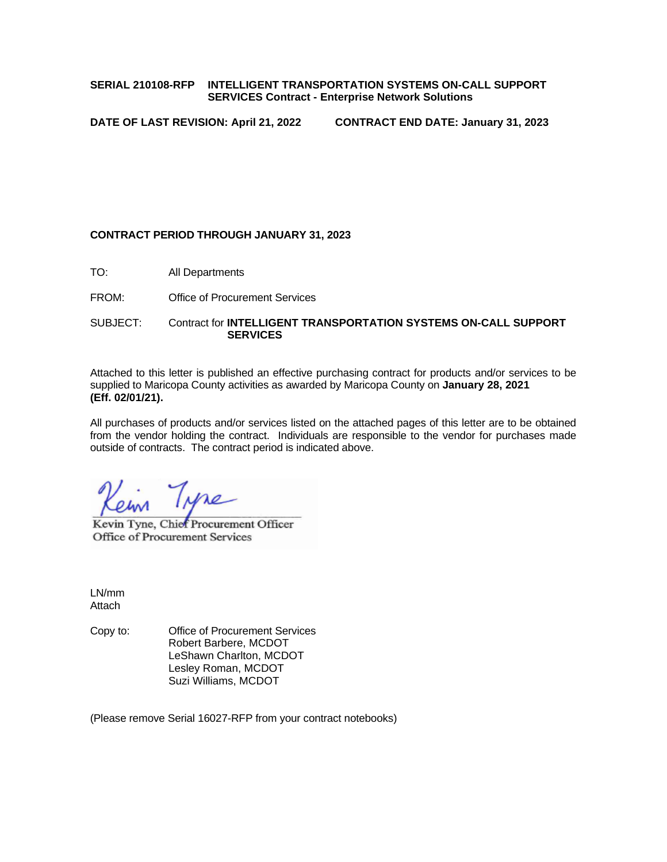## **SERIAL 210108-RFP INTELLIGENT TRANSPORTATION SYSTEMS ON-CALL SUPPORT SERVICES Contract - Enterprise Network Solutions**

**DATE OF LAST REVISION: April 21, 2022 CONTRACT END DATE: January 31, 2023**

## **CONTRACT PERIOD THROUGH JANUARY 31, 2023**

TO: All Departments

FROM: Office of Procurement Services

SUBJECT: Contract for **INTELLIGENT TRANSPORTATION SYSTEMS ON-CALL SUPPORT SERVICES**

Attached to this letter is published an effective purchasing contract for products and/or services to be supplied to Maricopa County activities as awarded by Maricopa County on **January 28, 2021 (Eff. 02/01/21).**

All purchases of products and/or services listed on the attached pages of this letter are to be obtained from the vendor holding the contract. Individuals are responsible to the vendor for purchases made outside of contracts. The contract period is indicated above.

Kevin Tyne, Chief Procurement Officer Office of Procurement Services

LN/mm Attach

Copy to: Office of Procurement Services Robert Barbere, MCDOT LeShawn Charlton, MCDOT Lesley Roman, MCDOT Suzi Williams, MCDOT

(Please remove Serial 16027-RFP from your contract notebooks)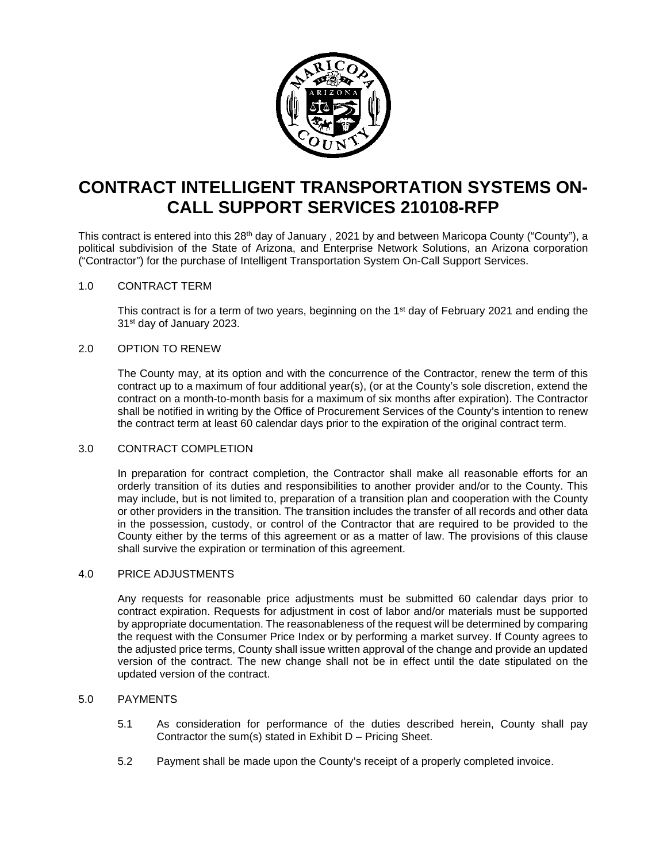

# **CONTRACT INTELLIGENT TRANSPORTATION SYSTEMS ON-CALL SUPPORT SERVICES 210108-RFP**

This contract is entered into this 28<sup>th</sup> day of January, 2021 by and between Maricopa County ("County"), a political subdivision of the State of Arizona, and Enterprise Network Solutions, an Arizona corporation ("Contractor") for the purchase of Intelligent Transportation System On-Call Support Services.

## 1.0 CONTRACT TERM

This contract is for a term of two years, beginning on the 1<sup>st</sup> day of February 2021 and ending the 31<sup>st</sup> day of January 2023.

## 2.0 OPTION TO RENEW

The County may, at its option and with the concurrence of the Contractor, renew the term of this contract up to a maximum of four additional year(s), (or at the County's sole discretion, extend the contract on a month-to-month basis for a maximum of six months after expiration). The Contractor shall be notified in writing by the Office of Procurement Services of the County's intention to renew the contract term at least 60 calendar days prior to the expiration of the original contract term.

## 3.0 CONTRACT COMPLETION

In preparation for contract completion, the Contractor shall make all reasonable efforts for an orderly transition of its duties and responsibilities to another provider and/or to the County. This may include, but is not limited to, preparation of a transition plan and cooperation with the County or other providers in the transition. The transition includes the transfer of all records and other data in the possession, custody, or control of the Contractor that are required to be provided to the County either by the terms of this agreement or as a matter of law. The provisions of this clause shall survive the expiration or termination of this agreement.

## 4.0 PRICE ADJUSTMENTS

Any requests for reasonable price adjustments must be submitted 60 calendar days prior to contract expiration. Requests for adjustment in cost of labor and/or materials must be supported by appropriate documentation. The reasonableness of the request will be determined by comparing the request with the Consumer Price Index or by performing a market survey. If County agrees to the adjusted price terms, County shall issue written approval of the change and provide an updated version of the contract. The new change shall not be in effect until the date stipulated on the updated version of the contract.

## 5.0 PAYMENTS

- 5.1 As consideration for performance of the duties described herein, County shall pay Contractor the sum(s) stated in Exhibit D – Pricing Sheet.
- 5.2 Payment shall be made upon the County's receipt of a properly completed invoice.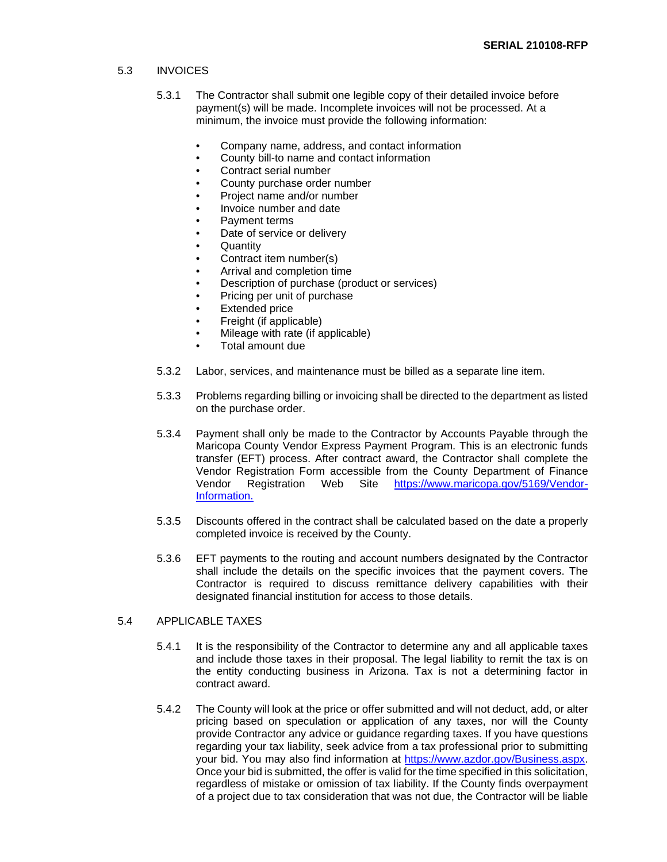#### 5.3 INVOICES

- 5.3.1 The Contractor shall submit one legible copy of their detailed invoice before payment(s) will be made. Incomplete invoices will not be processed. At a minimum, the invoice must provide the following information:
	- Company name, address, and contact information
	- County bill-to name and contact information
	- Contract serial number
	- County purchase order number
	- Project name and/or number
	- Invoice number and date
	- Payment terms
	- Date of service or delivery
	- **Quantity**
	- Contract item number(s)
	- Arrival and completion time
	- Description of purchase (product or services)
	- Pricing per unit of purchase
	- Extended price
	- Freight (if applicable)
	- Mileage with rate (if applicable)
	- Total amount due
- 5.3.2 Labor, services, and maintenance must be billed as a separate line item.
- 5.3.3 Problems regarding billing or invoicing shall be directed to the department as listed on the purchase order.
- 5.3.4 Payment shall only be made to the Contractor by Accounts Payable through the Maricopa County Vendor Express Payment Program. This is an electronic funds transfer (EFT) process. After contract award, the Contractor shall complete the Vendor Registration Form accessible from the County Department of Finance<br>Vendor Registration Web Site https://www.maricopa.gov/5169/VendorSite [https://www.maricopa.gov/5169/Vendor-](https://www.maricopa.gov/5169/Vendor-Information)[Information.](https://www.maricopa.gov/5169/Vendor-Information)
- 5.3.5 Discounts offered in the contract shall be calculated based on the date a properly completed invoice is received by the County.
- 5.3.6 EFT payments to the routing and account numbers designated by the Contractor shall include the details on the specific invoices that the payment covers. The Contractor is required to discuss remittance delivery capabilities with their designated financial institution for access to those details.

#### 5.4 APPLICABLE TAXES

- 5.4.1 It is the responsibility of the Contractor to determine any and all applicable taxes and include those taxes in their proposal. The legal liability to remit the tax is on the entity conducting business in Arizona. Tax is not a determining factor in contract award.
- 5.4.2 The County will look at the price or offer submitted and will not deduct, add, or alter pricing based on speculation or application of any taxes, nor will the County provide Contractor any advice or guidance regarding taxes. If you have questions regarding your tax liability, seek advice from a tax professional prior to submitting your bid. You may also find information at [https://www.azdor.gov/Business.aspx.](https://www.azdor.gov/Business.aspx) Once your bid is submitted, the offer is valid for the time specified in this solicitation, regardless of mistake or omission of tax liability. If the County finds overpayment of a project due to tax consideration that was not due, the Contractor will be liable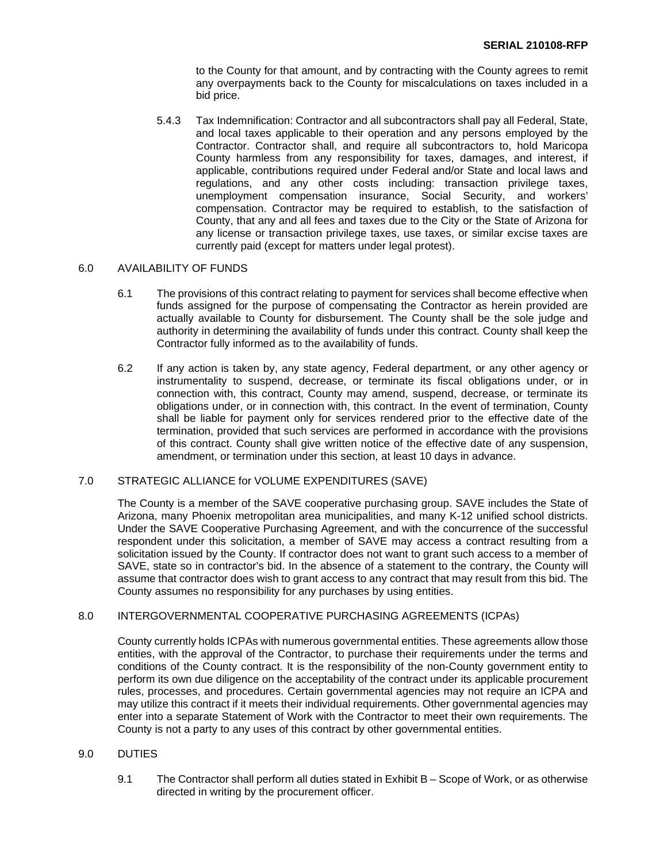to the County for that amount, and by contracting with the County agrees to remit any overpayments back to the County for miscalculations on taxes included in a bid price.

5.4.3 Tax Indemnification: Contractor and all subcontractors shall pay all Federal, State, and local taxes applicable to their operation and any persons employed by the Contractor. Contractor shall, and require all subcontractors to, hold Maricopa County harmless from any responsibility for taxes, damages, and interest, if applicable, contributions required under Federal and/or State and local laws and regulations, and any other costs including: transaction privilege taxes, unemployment compensation insurance, Social Security, and workers' compensation. Contractor may be required to establish, to the satisfaction of County, that any and all fees and taxes due to the City or the State of Arizona for any license or transaction privilege taxes, use taxes, or similar excise taxes are currently paid (except for matters under legal protest).

### 6.0 AVAILABILITY OF FUNDS

- 6.1 The provisions of this contract relating to payment for services shall become effective when funds assigned for the purpose of compensating the Contractor as herein provided are actually available to County for disbursement. The County shall be the sole judge and authority in determining the availability of funds under this contract. County shall keep the Contractor fully informed as to the availability of funds.
- 6.2 If any action is taken by, any state agency, Federal department, or any other agency or instrumentality to suspend, decrease, or terminate its fiscal obligations under, or in connection with, this contract, County may amend, suspend, decrease, or terminate its obligations under, or in connection with, this contract. In the event of termination, County shall be liable for payment only for services rendered prior to the effective date of the termination, provided that such services are performed in accordance with the provisions of this contract. County shall give written notice of the effective date of any suspension, amendment, or termination under this section, at least 10 days in advance.

## 7.0 STRATEGIC ALLIANCE for VOLUME EXPENDITURES (SAVE)

The County is a member of the SAVE cooperative purchasing group. SAVE includes the State of Arizona, many Phoenix metropolitan area municipalities, and many K-12 unified school districts. Under the SAVE Cooperative Purchasing Agreement, and with the concurrence of the successful respondent under this solicitation, a member of SAVE may access a contract resulting from a solicitation issued by the County. If contractor does not want to grant such access to a member of SAVE, state so in contractor's bid. In the absence of a statement to the contrary, the County will assume that contractor does wish to grant access to any contract that may result from this bid. The County assumes no responsibility for any purchases by using entities.

## 8.0 INTERGOVERNMENTAL COOPERATIVE PURCHASING AGREEMENTS (ICPAs)

County currently holds ICPAs with numerous governmental entities. These agreements allow those entities, with the approval of the Contractor, to purchase their requirements under the terms and conditions of the County contract. It is the responsibility of the non-County government entity to perform its own due diligence on the acceptability of the contract under its applicable procurement rules, processes, and procedures. Certain governmental agencies may not require an ICPA and may utilize this contract if it meets their individual requirements. Other governmental agencies may enter into a separate Statement of Work with the Contractor to meet their own requirements. The County is not a party to any uses of this contract by other governmental entities.

## 9.0 DUTIES

9.1 The Contractor shall perform all duties stated in Exhibit B – Scope of Work, or as otherwise directed in writing by the procurement officer.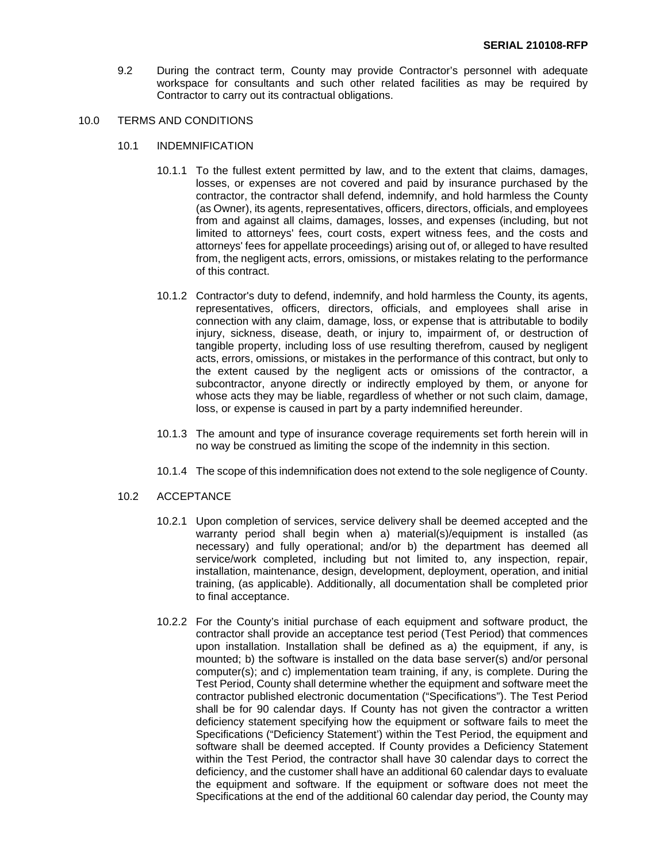9.2 During the contract term, County may provide Contractor's personnel with adequate workspace for consultants and such other related facilities as may be required by Contractor to carry out its contractual obligations.

#### 10.0 TERMS AND CONDITIONS

- 10.1 INDEMNIFICATION
	- 10.1.1 To the fullest extent permitted by law, and to the extent that claims, damages, losses, or expenses are not covered and paid by insurance purchased by the contractor, the contractor shall defend, indemnify, and hold harmless the County (as Owner), its agents, representatives, officers, directors, officials, and employees from and against all claims, damages, losses, and expenses (including, but not limited to attorneys' fees, court costs, expert witness fees, and the costs and attorneys' fees for appellate proceedings) arising out of, or alleged to have resulted from, the negligent acts, errors, omissions, or mistakes relating to the performance of this contract.
	- 10.1.2 Contractor's duty to defend, indemnify, and hold harmless the County, its agents, representatives, officers, directors, officials, and employees shall arise in connection with any claim, damage, loss, or expense that is attributable to bodily injury, sickness, disease, death, or injury to, impairment of, or destruction of tangible property, including loss of use resulting therefrom, caused by negligent acts, errors, omissions, or mistakes in the performance of this contract, but only to the extent caused by the negligent acts or omissions of the contractor, a subcontractor, anyone directly or indirectly employed by them, or anyone for whose acts they may be liable, regardless of whether or not such claim, damage, loss, or expense is caused in part by a party indemnified hereunder.
	- 10.1.3 The amount and type of insurance coverage requirements set forth herein will in no way be construed as limiting the scope of the indemnity in this section.
	- 10.1.4 The scope of this indemnification does not extend to the sole negligence of County.

#### 10.2 ACCEPTANCE

- 10.2.1 Upon completion of services, service delivery shall be deemed accepted and the warranty period shall begin when a) material(s)/equipment is installed (as necessary) and fully operational; and/or b) the department has deemed all service/work completed, including but not limited to, any inspection, repair, installation, maintenance, design, development, deployment, operation, and initial training, (as applicable). Additionally, all documentation shall be completed prior to final acceptance.
- 10.2.2 For the County's initial purchase of each equipment and software product, the contractor shall provide an acceptance test period (Test Period) that commences upon installation. Installation shall be defined as a) the equipment, if any, is mounted; b) the software is installed on the data base server(s) and/or personal computer(s); and c) implementation team training, if any, is complete. During the Test Period, County shall determine whether the equipment and software meet the contractor published electronic documentation ("Specifications"). The Test Period shall be for 90 calendar days. If County has not given the contractor a written deficiency statement specifying how the equipment or software fails to meet the Specifications ("Deficiency Statement') within the Test Period, the equipment and software shall be deemed accepted. If County provides a Deficiency Statement within the Test Period, the contractor shall have 30 calendar days to correct the deficiency, and the customer shall have an additional 60 calendar days to evaluate the equipment and software. If the equipment or software does not meet the Specifications at the end of the additional 60 calendar day period, the County may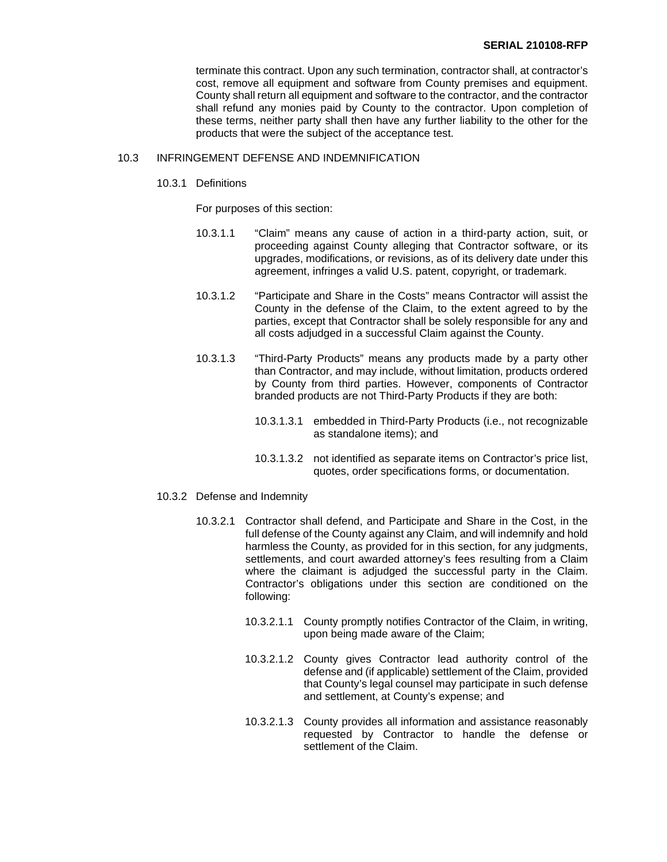terminate this contract. Upon any such termination, contractor shall, at contractor's cost, remove all equipment and software from County premises and equipment. County shall return all equipment and software to the contractor, and the contractor shall refund any monies paid by County to the contractor. Upon completion of these terms, neither party shall then have any further liability to the other for the products that were the subject of the acceptance test.

## 10.3 INFRINGEMENT DEFENSE AND INDEMNIFICATION

10.3.1 Definitions

For purposes of this section:

- 10.3.1.1 "Claim" means any cause of action in a third-party action, suit, or proceeding against County alleging that Contractor software, or its upgrades, modifications, or revisions, as of its delivery date under this agreement, infringes a valid U.S. patent, copyright, or trademark.
- 10.3.1.2 "Participate and Share in the Costs" means Contractor will assist the County in the defense of the Claim, to the extent agreed to by the parties, except that Contractor shall be solely responsible for any and all costs adjudged in a successful Claim against the County.
- 10.3.1.3 "Third-Party Products" means any products made by a party other than Contractor, and may include, without limitation, products ordered by County from third parties. However, components of Contractor branded products are not Third-Party Products if they are both:
	- 10.3.1.3.1 embedded in Third-Party Products (i.e., not recognizable as standalone items); and
	- 10.3.1.3.2 not identified as separate items on Contractor's price list, quotes, order specifications forms, or documentation.
- 10.3.2 Defense and Indemnity
	- 10.3.2.1 Contractor shall defend, and Participate and Share in the Cost, in the full defense of the County against any Claim, and will indemnify and hold harmless the County, as provided for in this section, for any judgments, settlements, and court awarded attorney's fees resulting from a Claim where the claimant is adjudged the successful party in the Claim. Contractor's obligations under this section are conditioned on the following:
		- 10.3.2.1.1 County promptly notifies Contractor of the Claim, in writing, upon being made aware of the Claim;
		- 10.3.2.1.2 County gives Contractor lead authority control of the defense and (if applicable) settlement of the Claim, provided that County's legal counsel may participate in such defense and settlement, at County's expense; and
		- 10.3.2.1.3 County provides all information and assistance reasonably requested by Contractor to handle the defense or settlement of the Claim.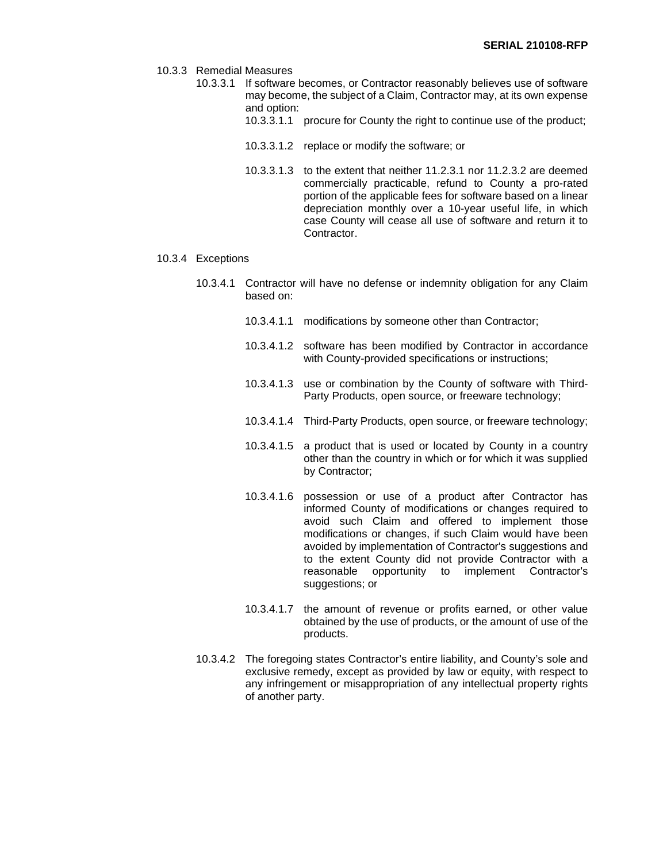- 10.3.3 Remedial Measures
	- 10.3.3.1 If software becomes, or Contractor reasonably believes use of software may become, the subject of a Claim, Contractor may, at its own expense and option:
		- 10.3.3.1.1 procure for County the right to continue use of the product;
		- 10.3.3.1.2 replace or modify the software; or
		- 10.3.3.1.3 to the extent that neither 11.2.3.1 nor 11.2.3.2 are deemed commercially practicable, refund to County a pro-rated portion of the applicable fees for software based on a linear depreciation monthly over a 10-year useful life, in which case County will cease all use of software and return it to Contractor.
- 10.3.4 Exceptions
	- 10.3.4.1 Contractor will have no defense or indemnity obligation for any Claim based on:
		- 10.3.4.1.1 modifications by someone other than Contractor;
		- 10.3.4.1.2 software has been modified by Contractor in accordance with County-provided specifications or instructions;
		- 10.3.4.1.3 use or combination by the County of software with Third-Party Products, open source, or freeware technology;
		- 10.3.4.1.4 Third-Party Products, open source, or freeware technology;
		- 10.3.4.1.5 a product that is used or located by County in a country other than the country in which or for which it was supplied by Contractor;
		- 10.3.4.1.6 possession or use of a product after Contractor has informed County of modifications or changes required to avoid such Claim and offered to implement those modifications or changes, if such Claim would have been avoided by implementation of Contractor's suggestions and to the extent County did not provide Contractor with a reasonable opportunity to implement Contractor's suggestions; or
		- 10.3.4.1.7 the amount of revenue or profits earned, or other value obtained by the use of products, or the amount of use of the products.
	- 10.3.4.2 The foregoing states Contractor's entire liability, and County's sole and exclusive remedy, except as provided by law or equity, with respect to any infringement or misappropriation of any intellectual property rights of another party.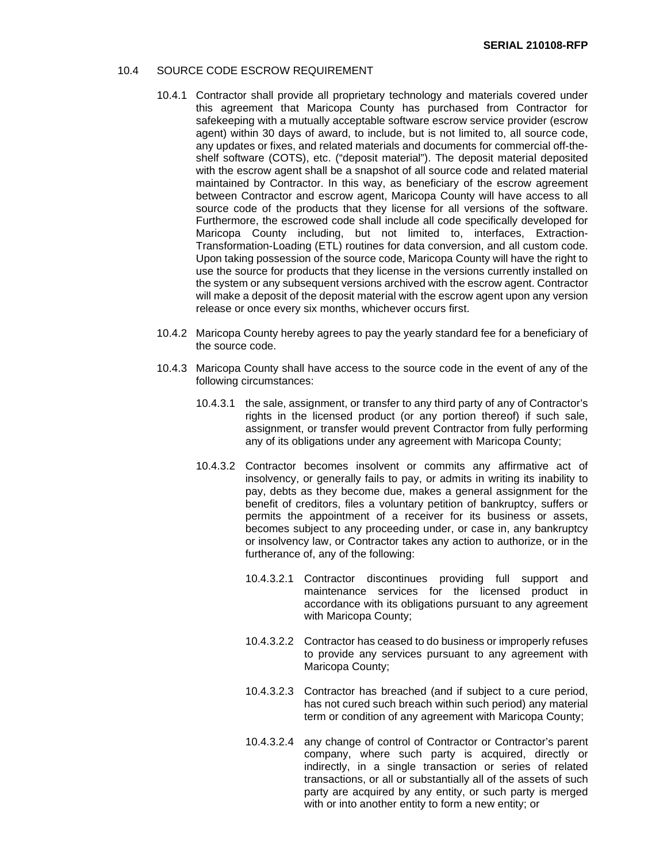#### 10.4 SOURCE CODE ESCROW REQUIREMENT

- 10.4.1 Contractor shall provide all proprietary technology and materials covered under this agreement that Maricopa County has purchased from Contractor for safekeeping with a mutually acceptable software escrow service provider (escrow agent) within 30 days of award, to include, but is not limited to, all source code, any updates or fixes, and related materials and documents for commercial off-theshelf software (COTS), etc. ("deposit material"). The deposit material deposited with the escrow agent shall be a snapshot of all source code and related material maintained by Contractor. In this way, as beneficiary of the escrow agreement between Contractor and escrow agent, Maricopa County will have access to all source code of the products that they license for all versions of the software. Furthermore, the escrowed code shall include all code specifically developed for Maricopa County including, but not limited to, interfaces, Extraction-Transformation-Loading (ETL) routines for data conversion, and all custom code. Upon taking possession of the source code, Maricopa County will have the right to use the source for products that they license in the versions currently installed on the system or any subsequent versions archived with the escrow agent. Contractor will make a deposit of the deposit material with the escrow agent upon any version release or once every six months, whichever occurs first.
- 10.4.2 Maricopa County hereby agrees to pay the yearly standard fee for a beneficiary of the source code.
- 10.4.3 Maricopa County shall have access to the source code in the event of any of the following circumstances:
	- 10.4.3.1 the sale, assignment, or transfer to any third party of any of Contractor's rights in the licensed product (or any portion thereof) if such sale, assignment, or transfer would prevent Contractor from fully performing any of its obligations under any agreement with Maricopa County;
	- 10.4.3.2 Contractor becomes insolvent or commits any affirmative act of insolvency, or generally fails to pay, or admits in writing its inability to pay, debts as they become due, makes a general assignment for the benefit of creditors, files a voluntary petition of bankruptcy, suffers or permits the appointment of a receiver for its business or assets, becomes subject to any proceeding under, or case in, any bankruptcy or insolvency law, or Contractor takes any action to authorize, or in the furtherance of, any of the following:
		- 10.4.3.2.1 Contractor discontinues providing full support and maintenance services for the licensed product in accordance with its obligations pursuant to any agreement with Maricopa County;
		- 10.4.3.2.2 Contractor has ceased to do business or improperly refuses to provide any services pursuant to any agreement with Maricopa County;
		- 10.4.3.2.3 Contractor has breached (and if subject to a cure period, has not cured such breach within such period) any material term or condition of any agreement with Maricopa County;
		- 10.4.3.2.4 any change of control of Contractor or Contractor's parent company, where such party is acquired, directly or indirectly, in a single transaction or series of related transactions, or all or substantially all of the assets of such party are acquired by any entity, or such party is merged with or into another entity to form a new entity; or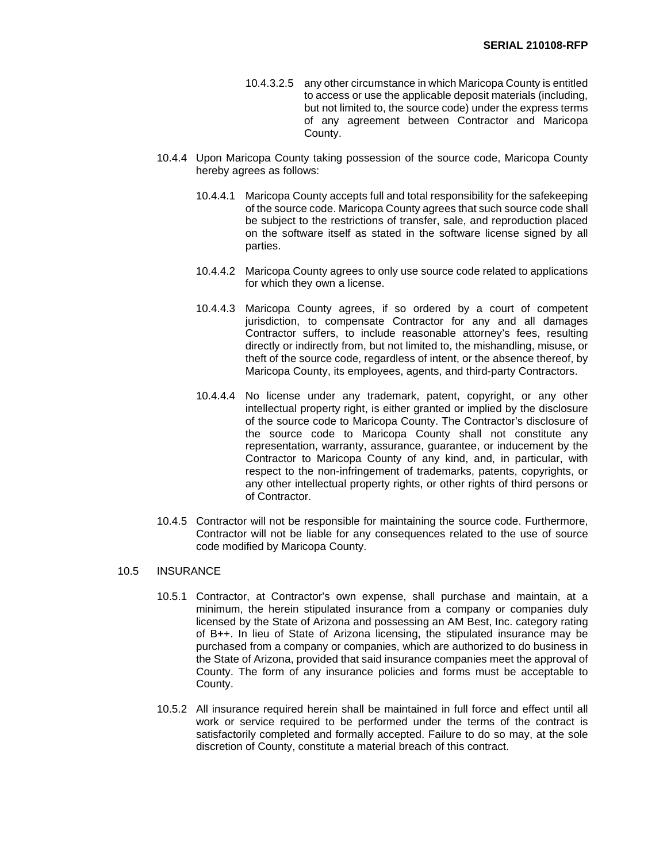- 10.4.3.2.5 any other circumstance in which Maricopa County is entitled to access or use the applicable deposit materials (including, but not limited to, the source code) under the express terms of any agreement between Contractor and Maricopa County.
- 10.4.4 Upon Maricopa County taking possession of the source code, Maricopa County hereby agrees as follows:
	- 10.4.4.1 Maricopa County accepts full and total responsibility for the safekeeping of the source code. Maricopa County agrees that such source code shall be subject to the restrictions of transfer, sale, and reproduction placed on the software itself as stated in the software license signed by all parties.
	- 10.4.4.2 Maricopa County agrees to only use source code related to applications for which they own a license.
	- 10.4.4.3 Maricopa County agrees, if so ordered by a court of competent jurisdiction, to compensate Contractor for any and all damages Contractor suffers, to include reasonable attorney's fees, resulting directly or indirectly from, but not limited to, the mishandling, misuse, or theft of the source code, regardless of intent, or the absence thereof, by Maricopa County, its employees, agents, and third-party Contractors.
	- 10.4.4.4 No license under any trademark, patent, copyright, or any other intellectual property right, is either granted or implied by the disclosure of the source code to Maricopa County. The Contractor's disclosure of the source code to Maricopa County shall not constitute any representation, warranty, assurance, guarantee, or inducement by the Contractor to Maricopa County of any kind, and, in particular, with respect to the non-infringement of trademarks, patents, copyrights, or any other intellectual property rights, or other rights of third persons or of Contractor.
- 10.4.5 Contractor will not be responsible for maintaining the source code. Furthermore, Contractor will not be liable for any consequences related to the use of source code modified by Maricopa County.

#### 10.5 INSURANCE

- 10.5.1 Contractor, at Contractor's own expense, shall purchase and maintain, at a minimum, the herein stipulated insurance from a company or companies duly licensed by the State of Arizona and possessing an AM Best, Inc. category rating of B++. In lieu of State of Arizona licensing, the stipulated insurance may be purchased from a company or companies, which are authorized to do business in the State of Arizona, provided that said insurance companies meet the approval of County. The form of any insurance policies and forms must be acceptable to County.
- 10.5.2 All insurance required herein shall be maintained in full force and effect until all work or service required to be performed under the terms of the contract is satisfactorily completed and formally accepted. Failure to do so may, at the sole discretion of County, constitute a material breach of this contract.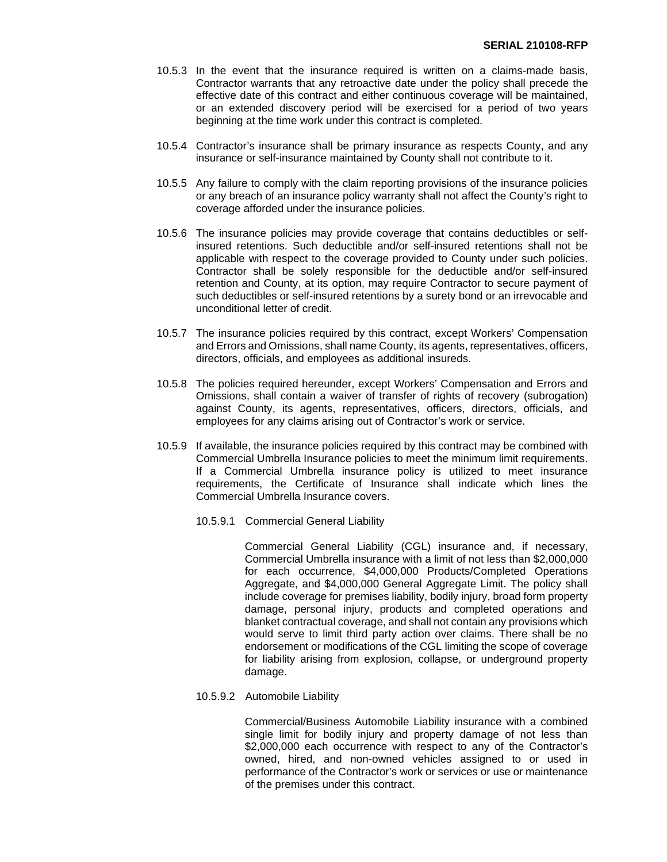- 10.5.3 In the event that the insurance required is written on a claims-made basis, Contractor warrants that any retroactive date under the policy shall precede the effective date of this contract and either continuous coverage will be maintained, or an extended discovery period will be exercised for a period of two years beginning at the time work under this contract is completed.
- 10.5.4 Contractor's insurance shall be primary insurance as respects County, and any insurance or self-insurance maintained by County shall not contribute to it.
- 10.5.5 Any failure to comply with the claim reporting provisions of the insurance policies or any breach of an insurance policy warranty shall not affect the County's right to coverage afforded under the insurance policies.
- 10.5.6 The insurance policies may provide coverage that contains deductibles or selfinsured retentions. Such deductible and/or self-insured retentions shall not be applicable with respect to the coverage provided to County under such policies. Contractor shall be solely responsible for the deductible and/or self-insured retention and County, at its option, may require Contractor to secure payment of such deductibles or self-insured retentions by a surety bond or an irrevocable and unconditional letter of credit.
- 10.5.7 The insurance policies required by this contract, except Workers' Compensation and Errors and Omissions, shall name County, its agents, representatives, officers, directors, officials, and employees as additional insureds.
- 10.5.8 The policies required hereunder, except Workers' Compensation and Errors and Omissions, shall contain a waiver of transfer of rights of recovery (subrogation) against County, its agents, representatives, officers, directors, officials, and employees for any claims arising out of Contractor's work or service.
- 10.5.9 If available, the insurance policies required by this contract may be combined with Commercial Umbrella Insurance policies to meet the minimum limit requirements. If a Commercial Umbrella insurance policy is utilized to meet insurance requirements, the Certificate of Insurance shall indicate which lines the Commercial Umbrella Insurance covers.
	- 10.5.9.1 Commercial General Liability

Commercial General Liability (CGL) insurance and, if necessary, Commercial Umbrella insurance with a limit of not less than \$2,000,000 for each occurrence, \$4,000,000 Products/Completed Operations Aggregate, and \$4,000,000 General Aggregate Limit. The policy shall include coverage for premises liability, bodily injury, broad form property damage, personal injury, products and completed operations and blanket contractual coverage, and shall not contain any provisions which would serve to limit third party action over claims. There shall be no endorsement or modifications of the CGL limiting the scope of coverage for liability arising from explosion, collapse, or underground property damage.

10.5.9.2 Automobile Liability

Commercial/Business Automobile Liability insurance with a combined single limit for bodily injury and property damage of not less than \$2,000,000 each occurrence with respect to any of the Contractor's owned, hired, and non-owned vehicles assigned to or used in performance of the Contractor's work or services or use or maintenance of the premises under this contract.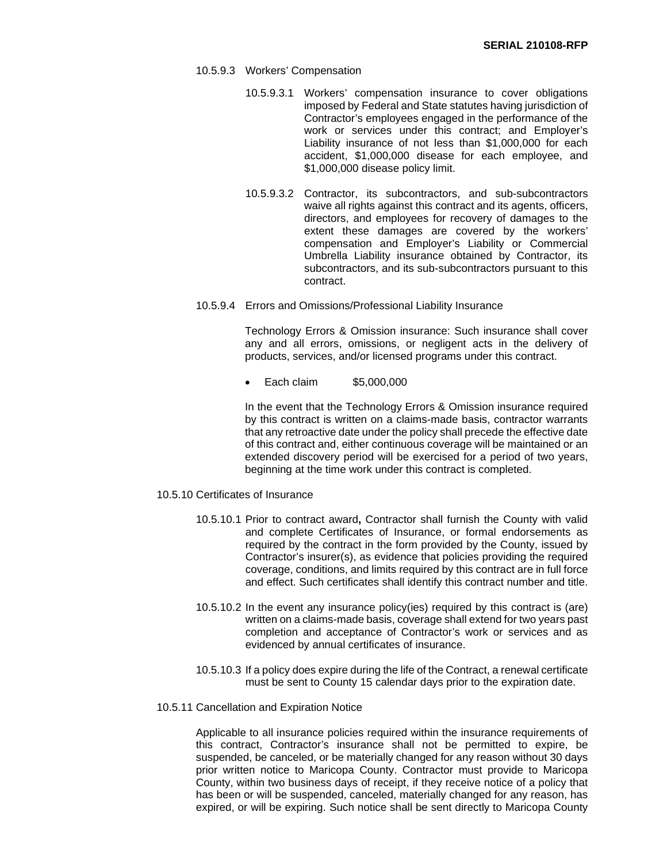- 10.5.9.3 Workers' Compensation
	- 10.5.9.3.1 Workers' compensation insurance to cover obligations imposed by Federal and State statutes having jurisdiction of Contractor's employees engaged in the performance of the work or services under this contract; and Employer's Liability insurance of not less than \$1,000,000 for each accident, \$1,000,000 disease for each employee, and \$1,000,000 disease policy limit.
	- 10.5.9.3.2 Contractor, its subcontractors, and sub-subcontractors waive all rights against this contract and its agents, officers, directors, and employees for recovery of damages to the extent these damages are covered by the workers' compensation and Employer's Liability or Commercial Umbrella Liability insurance obtained by Contractor, its subcontractors, and its sub-subcontractors pursuant to this contract.
- 10.5.9.4 Errors and Omissions/Professional Liability Insurance

Technology Errors & Omission insurance: Such insurance shall cover any and all errors, omissions, or negligent acts in the delivery of products, services, and/or licensed programs under this contract.

• Each claim \$5,000,000

In the event that the Technology Errors & Omission insurance required by this contract is written on a claims-made basis, contractor warrants that any retroactive date under the policy shall precede the effective date of this contract and, either continuous coverage will be maintained or an extended discovery period will be exercised for a period of two years. beginning at the time work under this contract is completed.

- 10.5.10 Certificates of Insurance
	- 10.5.10.1 Prior to contract award**,** Contractor shall furnish the County with valid and complete Certificates of Insurance, or formal endorsements as required by the contract in the form provided by the County, issued by Contractor's insurer(s), as evidence that policies providing the required coverage, conditions, and limits required by this contract are in full force and effect. Such certificates shall identify this contract number and title.
	- 10.5.10.2 In the event any insurance policy(ies) required by this contract is (are) written on a claims-made basis, coverage shall extend for two years past completion and acceptance of Contractor's work or services and as evidenced by annual certificates of insurance.
	- 10.5.10.3 If a policy does expire during the life of the Contract, a renewal certificate must be sent to County 15 calendar days prior to the expiration date.
- 10.5.11 Cancellation and Expiration Notice

Applicable to all insurance policies required within the insurance requirements of this contract, Contractor's insurance shall not be permitted to expire, be suspended, be canceled, or be materially changed for any reason without 30 days prior written notice to Maricopa County. Contractor must provide to Maricopa County, within two business days of receipt, if they receive notice of a policy that has been or will be suspended, canceled, materially changed for any reason, has expired, or will be expiring. Such notice shall be sent directly to Maricopa County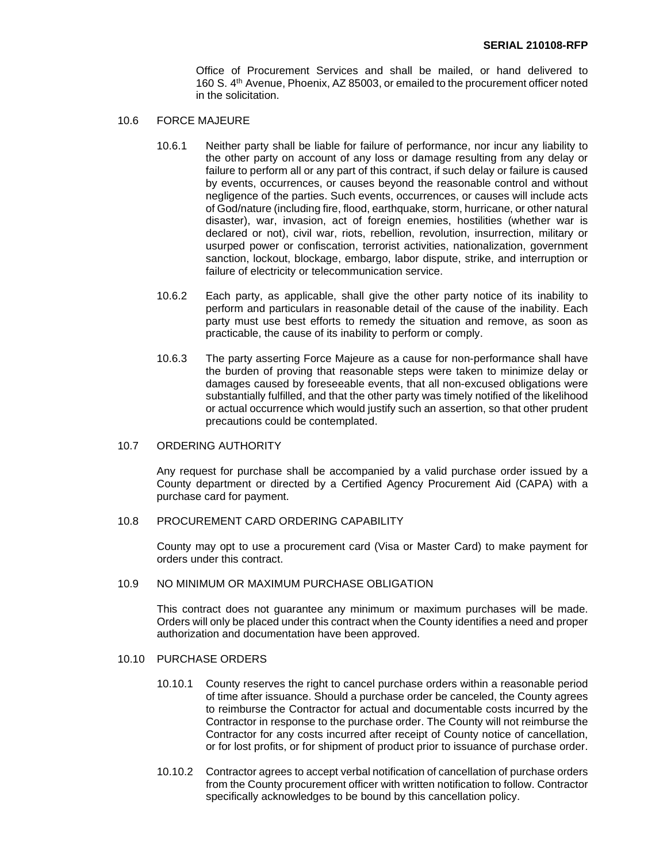Office of Procurement Services and shall be mailed, or hand delivered to 160 S. 4th Avenue, Phoenix, AZ 85003, or emailed to the procurement officer noted in the solicitation.

- 10.6 FORCE MAJEURE
	- 10.6.1 Neither party shall be liable for failure of performance, nor incur any liability to the other party on account of any loss or damage resulting from any delay or failure to perform all or any part of this contract, if such delay or failure is caused by events, occurrences, or causes beyond the reasonable control and without negligence of the parties. Such events, occurrences, or causes will include acts of God/nature (including fire, flood, earthquake, storm, hurricane, or other natural disaster), war, invasion, act of foreign enemies, hostilities (whether war is declared or not), civil war, riots, rebellion, revolution, insurrection, military or usurped power or confiscation, terrorist activities, nationalization, government sanction, lockout, blockage, embargo, labor dispute, strike, and interruption or failure of electricity or telecommunication service.
	- 10.6.2 Each party, as applicable, shall give the other party notice of its inability to perform and particulars in reasonable detail of the cause of the inability. Each party must use best efforts to remedy the situation and remove, as soon as practicable, the cause of its inability to perform or comply.
	- 10.6.3 The party asserting Force Majeure as a cause for non-performance shall have the burden of proving that reasonable steps were taken to minimize delay or damages caused by foreseeable events, that all non-excused obligations were substantially fulfilled, and that the other party was timely notified of the likelihood or actual occurrence which would justify such an assertion, so that other prudent precautions could be contemplated.
- 10.7 ORDERING AUTHORITY

Any request for purchase shall be accompanied by a valid purchase order issued by a County department or directed by a Certified Agency Procurement Aid (CAPA) with a purchase card for payment.

10.8 PROCUREMENT CARD ORDERING CAPABILITY

County may opt to use a procurement card (Visa or Master Card) to make payment for orders under this contract.

#### 10.9 NO MINIMUM OR MAXIMUM PURCHASE OBLIGATION

This contract does not guarantee any minimum or maximum purchases will be made. Orders will only be placed under this contract when the County identifies a need and proper authorization and documentation have been approved.

### 10.10 PURCHASE ORDERS

- 10.10.1 County reserves the right to cancel purchase orders within a reasonable period of time after issuance. Should a purchase order be canceled, the County agrees to reimburse the Contractor for actual and documentable costs incurred by the Contractor in response to the purchase order. The County will not reimburse the Contractor for any costs incurred after receipt of County notice of cancellation, or for lost profits, or for shipment of product prior to issuance of purchase order.
- 10.10.2 Contractor agrees to accept verbal notification of cancellation of purchase orders from the County procurement officer with written notification to follow. Contractor specifically acknowledges to be bound by this cancellation policy.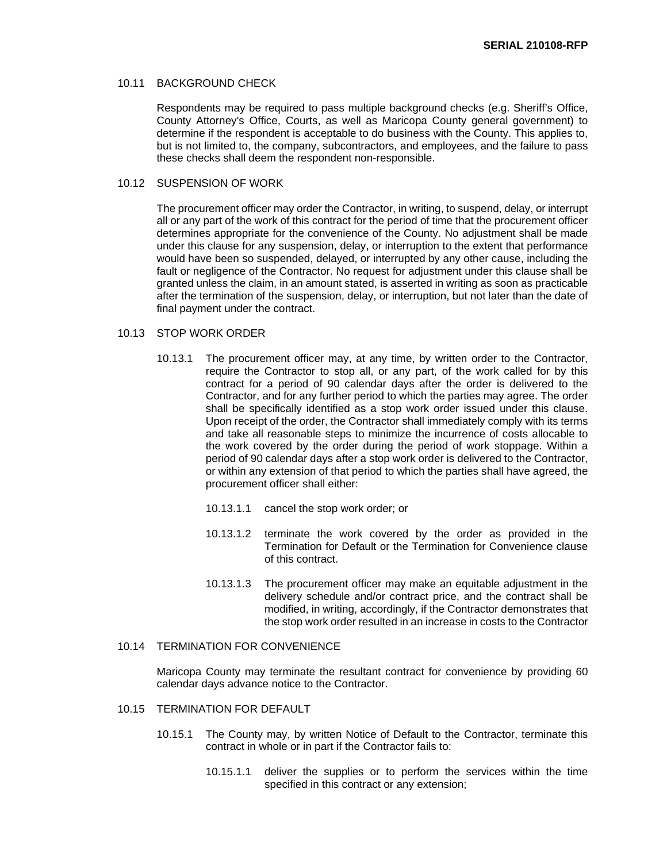#### 10.11 BACKGROUND CHECK

Respondents may be required to pass multiple background checks (e.g. Sheriff's Office, County Attorney's Office, Courts, as well as Maricopa County general government) to determine if the respondent is acceptable to do business with the County. This applies to, but is not limited to, the company, subcontractors, and employees, and the failure to pass these checks shall deem the respondent non-responsible.

#### 10.12 SUSPENSION OF WORK

The procurement officer may order the Contractor, in writing, to suspend, delay, or interrupt all or any part of the work of this contract for the period of time that the procurement officer determines appropriate for the convenience of the County. No adjustment shall be made under this clause for any suspension, delay, or interruption to the extent that performance would have been so suspended, delayed, or interrupted by any other cause, including the fault or negligence of the Contractor. No request for adjustment under this clause shall be granted unless the claim, in an amount stated, is asserted in writing as soon as practicable after the termination of the suspension, delay, or interruption, but not later than the date of final payment under the contract.

#### 10.13 STOP WORK ORDER

- 10.13.1 The procurement officer may, at any time, by written order to the Contractor, require the Contractor to stop all, or any part, of the work called for by this contract for a period of 90 calendar days after the order is delivered to the Contractor, and for any further period to which the parties may agree. The order shall be specifically identified as a stop work order issued under this clause. Upon receipt of the order, the Contractor shall immediately comply with its terms and take all reasonable steps to minimize the incurrence of costs allocable to the work covered by the order during the period of work stoppage. Within a period of 90 calendar days after a stop work order is delivered to the Contractor, or within any extension of that period to which the parties shall have agreed, the procurement officer shall either:
	- 10.13.1.1 cancel the stop work order; or
	- 10.13.1.2 terminate the work covered by the order as provided in the Termination for Default or the Termination for Convenience clause of this contract.
	- 10.13.1.3 The procurement officer may make an equitable adjustment in the delivery schedule and/or contract price, and the contract shall be modified, in writing, accordingly, if the Contractor demonstrates that the stop work order resulted in an increase in costs to the Contractor

## 10.14 TERMINATION FOR CONVENIENCE

Maricopa County may terminate the resultant contract for convenience by providing 60 calendar days advance notice to the Contractor.

### 10.15 TERMINATION FOR DEFAULT

- 10.15.1 The County may, by written Notice of Default to the Contractor, terminate this contract in whole or in part if the Contractor fails to:
	- 10.15.1.1 deliver the supplies or to perform the services within the time specified in this contract or any extension;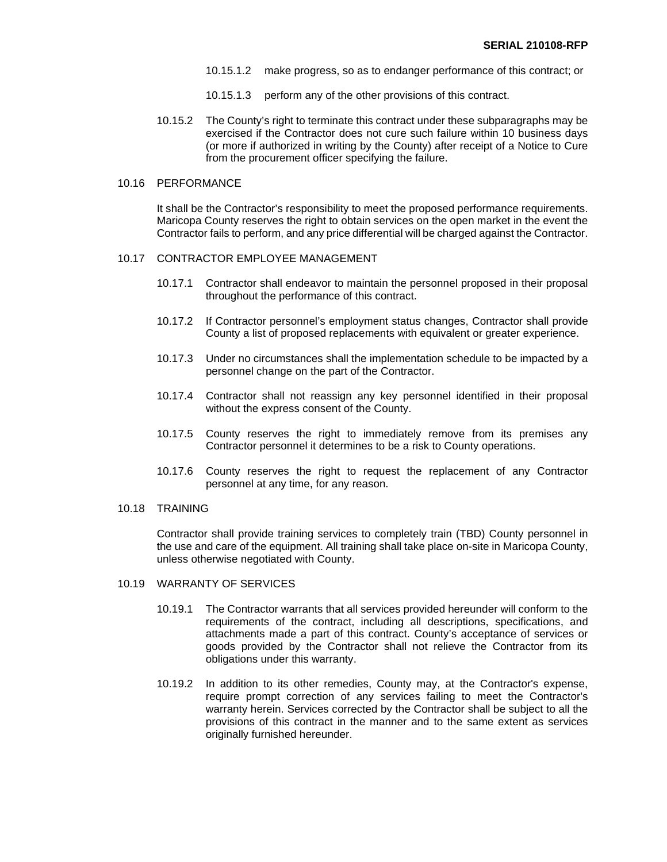- 10.15.1.2 make progress, so as to endanger performance of this contract; or
- 10.15.1.3 perform any of the other provisions of this contract.
- 10.15.2 The County's right to terminate this contract under these subparagraphs may be exercised if the Contractor does not cure such failure within 10 business days (or more if authorized in writing by the County) after receipt of a Notice to Cure from the procurement officer specifying the failure.

#### 10.16 PERFORMANCE

It shall be the Contractor's responsibility to meet the proposed performance requirements. Maricopa County reserves the right to obtain services on the open market in the event the Contractor fails to perform, and any price differential will be charged against the Contractor.

#### 10.17 CONTRACTOR EMPLOYEE MANAGEMENT

- 10.17.1 Contractor shall endeavor to maintain the personnel proposed in their proposal throughout the performance of this contract.
- 10.17.2 If Contractor personnel's employment status changes, Contractor shall provide County a list of proposed replacements with equivalent or greater experience.
- 10.17.3 Under no circumstances shall the implementation schedule to be impacted by a personnel change on the part of the Contractor.
- 10.17.4 Contractor shall not reassign any key personnel identified in their proposal without the express consent of the County.
- 10.17.5 County reserves the right to immediately remove from its premises any Contractor personnel it determines to be a risk to County operations.
- 10.17.6 County reserves the right to request the replacement of any Contractor personnel at any time, for any reason.
- 10.18 TRAINING

Contractor shall provide training services to completely train (TBD) County personnel in the use and care of the equipment. All training shall take place on-site in Maricopa County, unless otherwise negotiated with County.

- 10.19 WARRANTY OF SERVICES
	- 10.19.1 The Contractor warrants that all services provided hereunder will conform to the requirements of the contract, including all descriptions, specifications, and attachments made a part of this contract. County's acceptance of services or goods provided by the Contractor shall not relieve the Contractor from its obligations under this warranty.
	- 10.19.2 In addition to its other remedies, County may, at the Contractor's expense, require prompt correction of any services failing to meet the Contractor's warranty herein. Services corrected by the Contractor shall be subject to all the provisions of this contract in the manner and to the same extent as services originally furnished hereunder.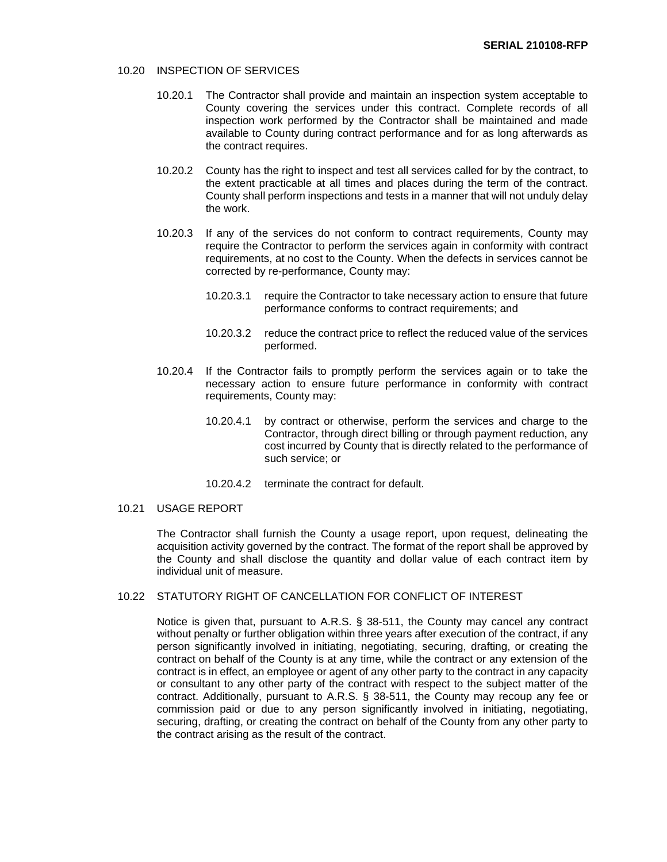#### 10.20 INSPECTION OF SERVICES

- 10.20.1 The Contractor shall provide and maintain an inspection system acceptable to County covering the services under this contract. Complete records of all inspection work performed by the Contractor shall be maintained and made available to County during contract performance and for as long afterwards as the contract requires.
- 10.20.2 County has the right to inspect and test all services called for by the contract, to the extent practicable at all times and places during the term of the contract. County shall perform inspections and tests in a manner that will not unduly delay the work.
- 10.20.3 If any of the services do not conform to contract requirements, County may require the Contractor to perform the services again in conformity with contract requirements, at no cost to the County. When the defects in services cannot be corrected by re-performance, County may:
	- 10.20.3.1 require the Contractor to take necessary action to ensure that future performance conforms to contract requirements; and
	- 10.20.3.2 reduce the contract price to reflect the reduced value of the services performed.
- 10.20.4 If the Contractor fails to promptly perform the services again or to take the necessary action to ensure future performance in conformity with contract requirements, County may:
	- 10.20.4.1 by contract or otherwise, perform the services and charge to the Contractor, through direct billing or through payment reduction, any cost incurred by County that is directly related to the performance of such service; or
	- 10.20.4.2 terminate the contract for default.

## 10.21 USAGE REPORT

The Contractor shall furnish the County a usage report, upon request, delineating the acquisition activity governed by the contract. The format of the report shall be approved by the County and shall disclose the quantity and dollar value of each contract item by individual unit of measure.

## 10.22 STATUTORY RIGHT OF CANCELLATION FOR CONFLICT OF INTEREST

Notice is given that, pursuant to A.R.S. § 38-511, the County may cancel any contract without penalty or further obligation within three years after execution of the contract, if any person significantly involved in initiating, negotiating, securing, drafting, or creating the contract on behalf of the County is at any time, while the contract or any extension of the contract is in effect, an employee or agent of any other party to the contract in any capacity or consultant to any other party of the contract with respect to the subject matter of the contract. Additionally, pursuant to A.R.S. § 38-511, the County may recoup any fee or commission paid or due to any person significantly involved in initiating, negotiating, securing, drafting, or creating the contract on behalf of the County from any other party to the contract arising as the result of the contract.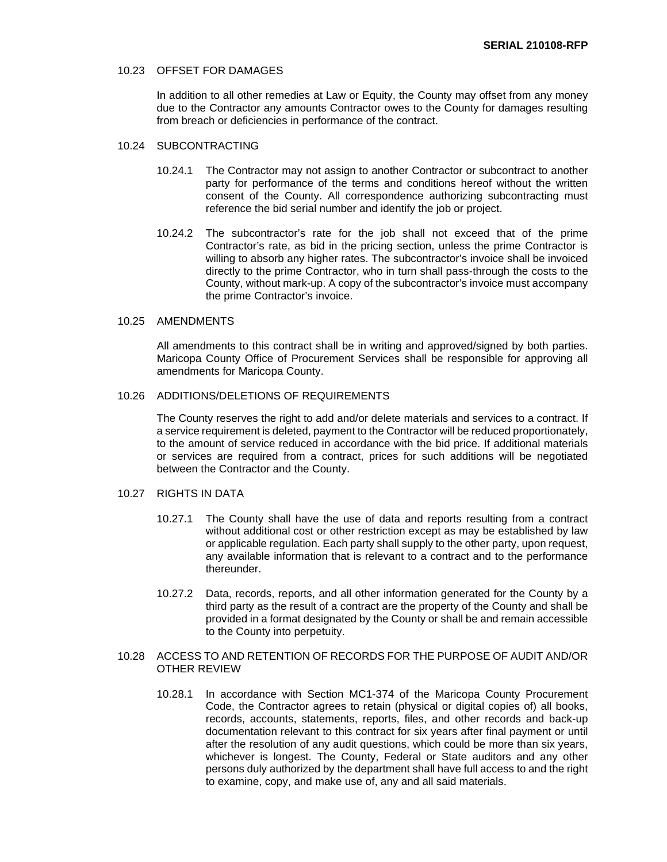#### 10.23 OFFSET FOR DAMAGES

In addition to all other remedies at Law or Equity, the County may offset from any money due to the Contractor any amounts Contractor owes to the County for damages resulting from breach or deficiencies in performance of the contract.

#### 10.24 SUBCONTRACTING

- 10.24.1 The Contractor may not assign to another Contractor or subcontract to another party for performance of the terms and conditions hereof without the written consent of the County. All correspondence authorizing subcontracting must reference the bid serial number and identify the job or project.
- 10.24.2 The subcontractor's rate for the job shall not exceed that of the prime Contractor's rate, as bid in the pricing section, unless the prime Contractor is willing to absorb any higher rates. The subcontractor's invoice shall be invoiced directly to the prime Contractor, who in turn shall pass-through the costs to the County, without mark-up. A copy of the subcontractor's invoice must accompany the prime Contractor's invoice.

#### 10.25 AMENDMENTS

All amendments to this contract shall be in writing and approved/signed by both parties. Maricopa County Office of Procurement Services shall be responsible for approving all amendments for Maricopa County.

### 10.26 ADDITIONS/DELETIONS OF REQUIREMENTS

The County reserves the right to add and/or delete materials and services to a contract. If a service requirement is deleted, payment to the Contractor will be reduced proportionately, to the amount of service reduced in accordance with the bid price. If additional materials or services are required from a contract, prices for such additions will be negotiated between the Contractor and the County.

## 10.27 RIGHTS IN DATA

- 10.27.1 The County shall have the use of data and reports resulting from a contract without additional cost or other restriction except as may be established by law or applicable regulation. Each party shall supply to the other party, upon request, any available information that is relevant to a contract and to the performance thereunder.
- 10.27.2 Data, records, reports, and all other information generated for the County by a third party as the result of a contract are the property of the County and shall be provided in a format designated by the County or shall be and remain accessible to the County into perpetuity.

#### 10.28 ACCESS TO AND RETENTION OF RECORDS FOR THE PURPOSE OF AUDIT AND/OR OTHER REVIEW

10.28.1 In accordance with Section MC1-374 of the Maricopa County Procurement Code, the Contractor agrees to retain (physical or digital copies of) all books, records, accounts, statements, reports, files, and other records and back-up documentation relevant to this contract for six years after final payment or until after the resolution of any audit questions, which could be more than six years, whichever is longest. The County, Federal or State auditors and any other persons duly authorized by the department shall have full access to and the right to examine, copy, and make use of, any and all said materials.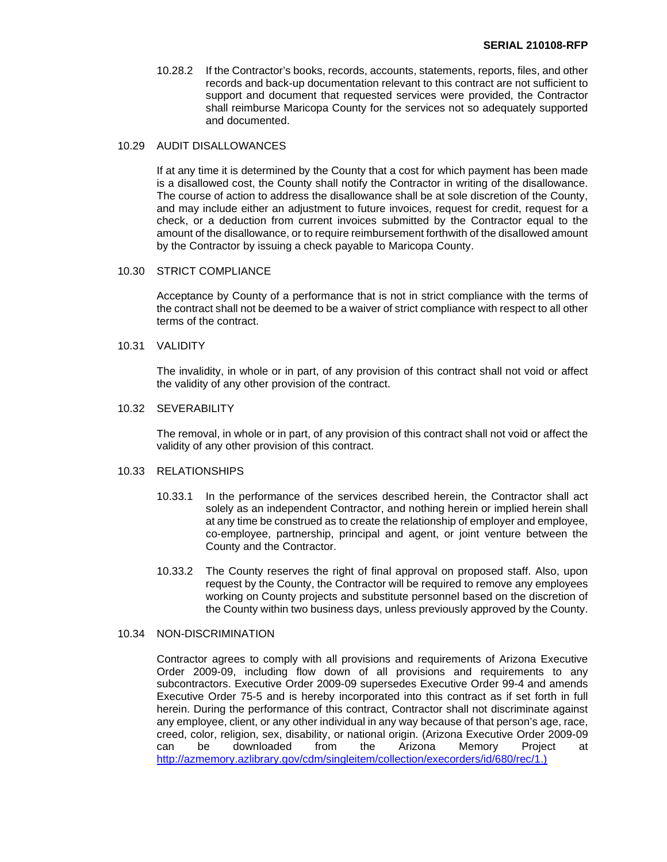10.28.2 If the Contractor's books, records, accounts, statements, reports, files, and other records and back-up documentation relevant to this contract are not sufficient to support and document that requested services were provided, the Contractor shall reimburse Maricopa County for the services not so adequately supported and documented.

## 10.29 AUDIT DISALLOWANCES

If at any time it is determined by the County that a cost for which payment has been made is a disallowed cost, the County shall notify the Contractor in writing of the disallowance. The course of action to address the disallowance shall be at sole discretion of the County, and may include either an adjustment to future invoices, request for credit, request for a check, or a deduction from current invoices submitted by the Contractor equal to the amount of the disallowance, or to require reimbursement forthwith of the disallowed amount by the Contractor by issuing a check payable to Maricopa County.

#### 10.30 STRICT COMPLIANCE

Acceptance by County of a performance that is not in strict compliance with the terms of the contract shall not be deemed to be a waiver of strict compliance with respect to all other terms of the contract.

#### 10.31 VALIDITY

The invalidity, in whole or in part, of any provision of this contract shall not void or affect the validity of any other provision of the contract.

#### 10.32 SEVERABILITY

The removal, in whole or in part, of any provision of this contract shall not void or affect the validity of any other provision of this contract.

#### 10.33 RELATIONSHIPS

- 10.33.1 In the performance of the services described herein, the Contractor shall act solely as an independent Contractor, and nothing herein or implied herein shall at any time be construed as to create the relationship of employer and employee, co-employee, partnership, principal and agent, or joint venture between the County and the Contractor.
- 10.33.2 The County reserves the right of final approval on proposed staff. Also, upon request by the County, the Contractor will be required to remove any employees working on County projects and substitute personnel based on the discretion of the County within two business days, unless previously approved by the County.

#### 10.34 NON-DISCRIMINATION

Contractor agrees to comply with all provisions and requirements of Arizona Executive Order 2009-09, including flow down of all provisions and requirements to any subcontractors. Executive Order 2009-09 supersedes Executive Order 99-4 and amends Executive Order 75-5 and is hereby incorporated into this contract as if set forth in full herein. During the performance of this contract, Contractor shall not discriminate against any employee, client, or any other individual in any way because of that person's age, race, creed, color, religion, sex, disability, or national origin. (Arizona Executive Order 2009-09 can be downloaded from the Arizona Memory Project at [http://azmemory.azlibrary.gov/cdm/singleitem/collection/execorders/id/680/rec/1.](http://azmemory.azlibrary.gov/cdm/singleitem/collection/execorders/id/680/rec/1))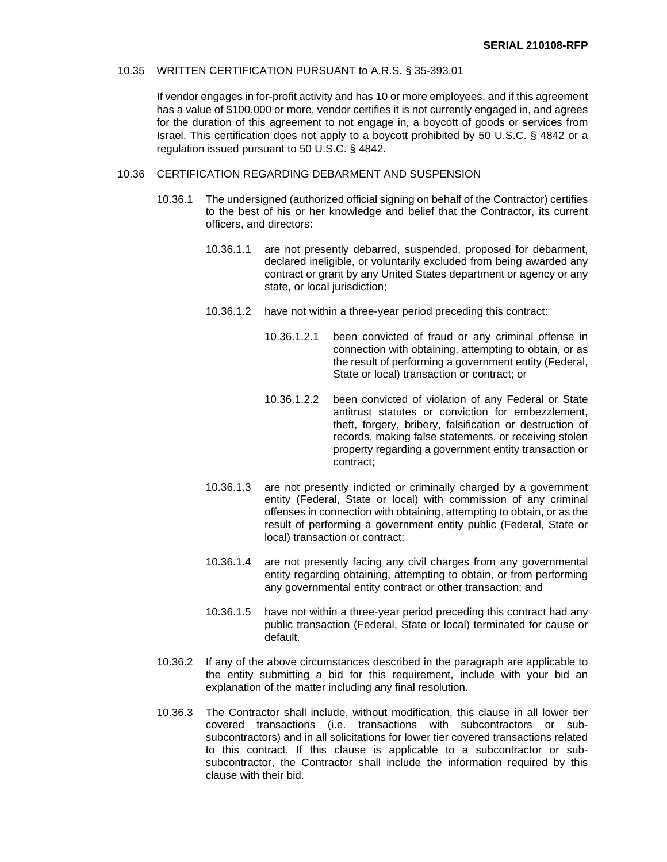#### 10.35 WRITTEN CERTIFICATION PURSUANT to A.R.S. § 35-393.01

If vendor engages in for-profit activity and has 10 or more employees, and if this agreement has a value of \$100,000 or more, vendor certifies it is not currently engaged in, and agrees for the duration of this agreement to not engage in, a boycott of goods or services from Israel. This certification does not apply to a boycott prohibited by 50 U.S.C. § 4842 or a regulation issued pursuant to 50 U.S.C. § 4842.

#### 10.36 CERTIFICATION REGARDING DEBARMENT AND SUSPENSION

- 10.36.1 The undersigned (authorized official signing on behalf of the Contractor) certifies to the best of his or her knowledge and belief that the Contractor, its current officers, and directors:
	- 10.36.1.1 are not presently debarred, suspended, proposed for debarment, declared ineligible, or voluntarily excluded from being awarded any contract or grant by any United States department or agency or any state, or local jurisdiction;
	- 10.36.1.2 have not within a three-year period preceding this contract:
		- 10.36.1.2.1 been convicted of fraud or any criminal offense in connection with obtaining, attempting to obtain, or as the result of performing a government entity (Federal, State or local) transaction or contract; or
		- 10.36.1.2.2 been convicted of violation of any Federal or State antitrust statutes or conviction for embezzlement, theft, forgery, bribery, falsification or destruction of records, making false statements, or receiving stolen property regarding a government entity transaction or contract;
	- 10.36.1.3 are not presently indicted or criminally charged by a government entity (Federal, State or local) with commission of any criminal offenses in connection with obtaining, attempting to obtain, or as the result of performing a government entity public (Federal, State or local) transaction or contract;
	- 10.36.1.4 are not presently facing any civil charges from any governmental entity regarding obtaining, attempting to obtain, or from performing any governmental entity contract or other transaction; and
	- 10.36.1.5 have not within a three-year period preceding this contract had any public transaction (Federal, State or local) terminated for cause or default.
- 10.36.2 If any of the above circumstances described in the paragraph are applicable to the entity submitting a bid for this requirement, include with your bid an explanation of the matter including any final resolution.
- 10.36.3 The Contractor shall include, without modification, this clause in all lower tier covered transactions (i.e. transactions with subcontractors or subsubcontractors) and in all solicitations for lower tier covered transactions related to this contract. If this clause is applicable to a subcontractor or subsubcontractor, the Contractor shall include the information required by this clause with their bid.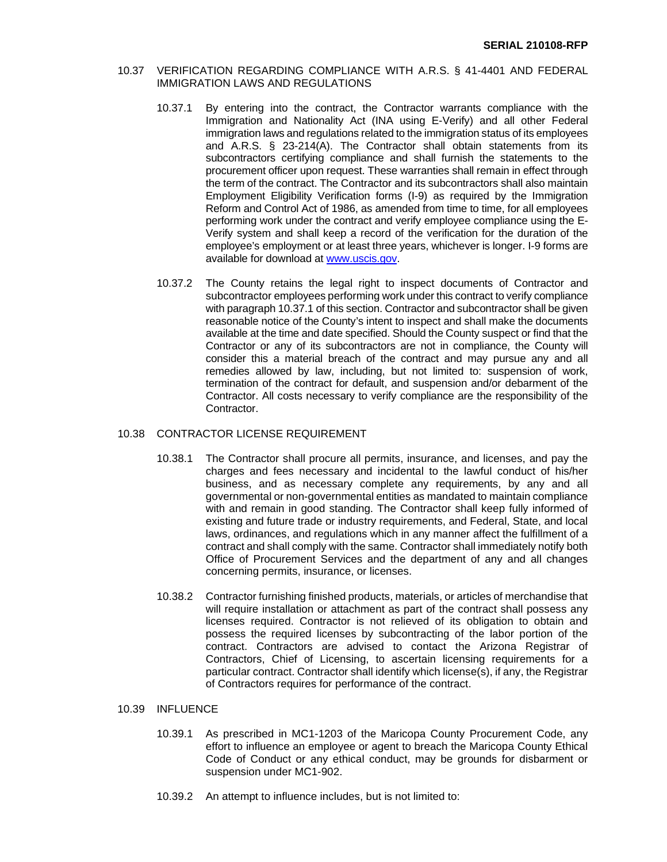#### 10.37 VERIFICATION REGARDING COMPLIANCE WITH A.R.S. § 41-4401 AND FEDERAL IMMIGRATION LAWS AND REGULATIONS

- 10.37.1 By entering into the contract, the Contractor warrants compliance with the Immigration and Nationality Act (INA using E-Verify) and all other Federal immigration laws and regulations related to the immigration status of its employees and A.R.S. § 23-214(A). The Contractor shall obtain statements from its subcontractors certifying compliance and shall furnish the statements to the procurement officer upon request. These warranties shall remain in effect through the term of the contract. The Contractor and its subcontractors shall also maintain Employment Eligibility Verification forms (I-9) as required by the Immigration Reform and Control Act of 1986, as amended from time to time, for all employees performing work under the contract and verify employee compliance using the E-Verify system and shall keep a record of the verification for the duration of the employee's employment or at least three years, whichever is longer. I-9 forms are available for download at [www.uscis.gov.](https://www.uscis.gov/)
- 10.37.2 The County retains the legal right to inspect documents of Contractor and subcontractor employees performing work under this contract to verify compliance with paragraph 10.37.1 of this section. Contractor and subcontractor shall be given reasonable notice of the County's intent to inspect and shall make the documents available at the time and date specified. Should the County suspect or find that the Contractor or any of its subcontractors are not in compliance, the County will consider this a material breach of the contract and may pursue any and all remedies allowed by law, including, but not limited to: suspension of work, termination of the contract for default, and suspension and/or debarment of the Contractor. All costs necessary to verify compliance are the responsibility of the Contractor.

### 10.38 CONTRACTOR LICENSE REQUIREMENT

- 10.38.1 The Contractor shall procure all permits, insurance, and licenses, and pay the charges and fees necessary and incidental to the lawful conduct of his/her business, and as necessary complete any requirements, by any and all governmental or non-governmental entities as mandated to maintain compliance with and remain in good standing. The Contractor shall keep fully informed of existing and future trade or industry requirements, and Federal, State, and local laws, ordinances, and regulations which in any manner affect the fulfillment of a contract and shall comply with the same. Contractor shall immediately notify both Office of Procurement Services and the department of any and all changes concerning permits, insurance, or licenses.
- 10.38.2 Contractor furnishing finished products, materials, or articles of merchandise that will require installation or attachment as part of the contract shall possess any licenses required. Contractor is not relieved of its obligation to obtain and possess the required licenses by subcontracting of the labor portion of the contract. Contractors are advised to contact the Arizona Registrar of Contractors, Chief of Licensing, to ascertain licensing requirements for a particular contract. Contractor shall identify which license(s), if any, the Registrar of Contractors requires for performance of the contract.

## 10.39 INFLUENCE

- 10.39.1 As prescribed in MC1-1203 of the Maricopa County Procurement Code, any effort to influence an employee or agent to breach the Maricopa County Ethical Code of Conduct or any ethical conduct, may be grounds for disbarment or suspension under MC1-902.
- 10.39.2 An attempt to influence includes, but is not limited to: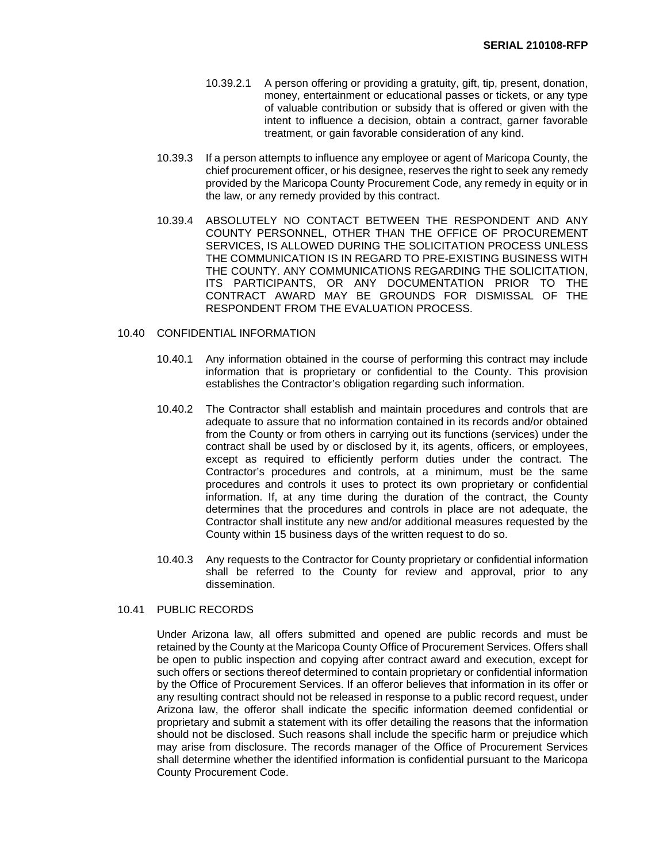- 10.39.2.1 A person offering or providing a gratuity, gift, tip, present, donation, money, entertainment or educational passes or tickets, or any type of valuable contribution or subsidy that is offered or given with the intent to influence a decision, obtain a contract, garner favorable treatment, or gain favorable consideration of any kind.
- 10.39.3 If a person attempts to influence any employee or agent of Maricopa County, the chief procurement officer, or his designee, reserves the right to seek any remedy provided by the Maricopa County Procurement Code, any remedy in equity or in the law, or any remedy provided by this contract.
- 10.39.4 ABSOLUTELY NO CONTACT BETWEEN THE RESPONDENT AND ANY COUNTY PERSONNEL, OTHER THAN THE OFFICE OF PROCUREMENT SERVICES, IS ALLOWED DURING THE SOLICITATION PROCESS UNLESS THE COMMUNICATION IS IN REGARD TO PRE-EXISTING BUSINESS WITH THE COUNTY. ANY COMMUNICATIONS REGARDING THE SOLICITATION, ITS PARTICIPANTS, OR ANY DOCUMENTATION PRIOR TO THE CONTRACT AWARD MAY BE GROUNDS FOR DISMISSAL OF THE RESPONDENT FROM THE EVALUATION PROCESS.

#### 10.40 CONFIDENTIAL INFORMATION

- 10.40.1 Any information obtained in the course of performing this contract may include information that is proprietary or confidential to the County. This provision establishes the Contractor's obligation regarding such information.
- 10.40.2 The Contractor shall establish and maintain procedures and controls that are adequate to assure that no information contained in its records and/or obtained from the County or from others in carrying out its functions (services) under the contract shall be used by or disclosed by it, its agents, officers, or employees, except as required to efficiently perform duties under the contract. The Contractor's procedures and controls, at a minimum, must be the same procedures and controls it uses to protect its own proprietary or confidential information. If, at any time during the duration of the contract, the County determines that the procedures and controls in place are not adequate, the Contractor shall institute any new and/or additional measures requested by the County within 15 business days of the written request to do so.
- 10.40.3 Any requests to the Contractor for County proprietary or confidential information shall be referred to the County for review and approval, prior to any dissemination.

#### 10.41 PUBLIC RECORDS

Under Arizona law, all offers submitted and opened are public records and must be retained by the County at the Maricopa County Office of Procurement Services. Offers shall be open to public inspection and copying after contract award and execution, except for such offers or sections thereof determined to contain proprietary or confidential information by the Office of Procurement Services. If an offeror believes that information in its offer or any resulting contract should not be released in response to a public record request, under Arizona law, the offeror shall indicate the specific information deemed confidential or proprietary and submit a statement with its offer detailing the reasons that the information should not be disclosed. Such reasons shall include the specific harm or prejudice which may arise from disclosure. The records manager of the Office of Procurement Services shall determine whether the identified information is confidential pursuant to the Maricopa County Procurement Code.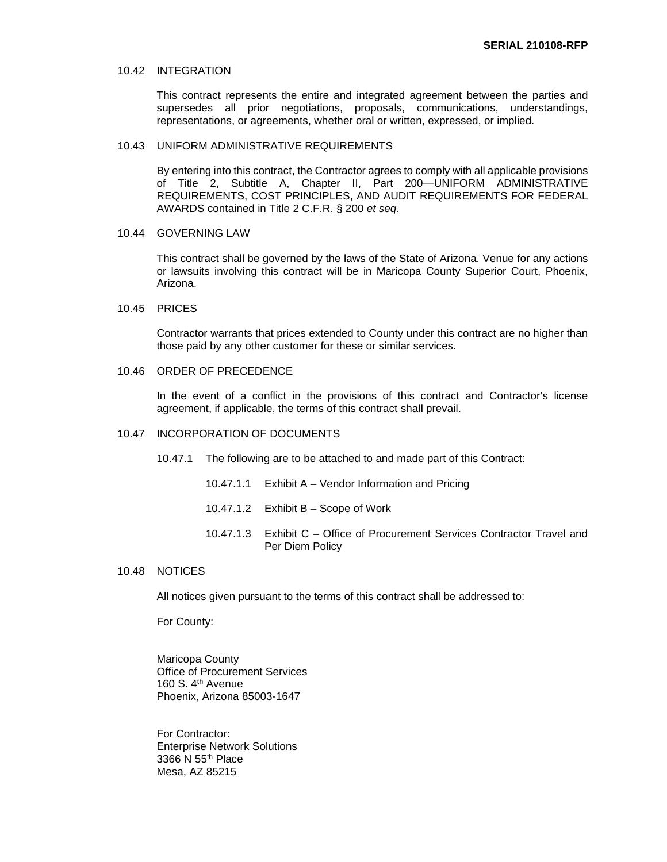#### 10.42 INTEGRATION

This contract represents the entire and integrated agreement between the parties and supersedes all prior negotiations, proposals, communications, understandings, representations, or agreements, whether oral or written, expressed, or implied.

#### 10.43 UNIFORM ADMINISTRATIVE REQUIREMENTS

By entering into this contract, the Contractor agrees to comply with all applicable provisions of Title 2, Subtitle A, Chapter II, Part 200—UNIFORM ADMINISTRATIVE REQUIREMENTS, COST PRINCIPLES, AND AUDIT REQUIREMENTS FOR FEDERAL AWARDS contained in Title 2 C.F.R. § 200 *et seq.*

10.44 GOVERNING LAW

This contract shall be governed by the laws of the State of Arizona. Venue for any actions or lawsuits involving this contract will be in Maricopa County Superior Court, Phoenix, Arizona.

10.45 PRICES

Contractor warrants that prices extended to County under this contract are no higher than those paid by any other customer for these or similar services.

### 10.46 ORDER OF PRECEDENCE

In the event of a conflict in the provisions of this contract and Contractor's license agreement, if applicable, the terms of this contract shall prevail.

#### 10.47 INCORPORATION OF DOCUMENTS

10.47.1 The following are to be attached to and made part of this Contract:

- 10.47.1.1 Exhibit A Vendor Information and Pricing
- 10.47.1.2 Exhibit B Scope of Work
- 10.47.1.3 Exhibit C Office of Procurement Services Contractor Travel and Per Diem Policy

#### 10.48 NOTICES

All notices given pursuant to the terms of this contract shall be addressed to:

For County:

Maricopa County Office of Procurement Services 160 S. 4th Avenue Phoenix, Arizona 85003-1647

For Contractor: Enterprise Network Solutions 3366 N 55th Place Mesa, AZ 85215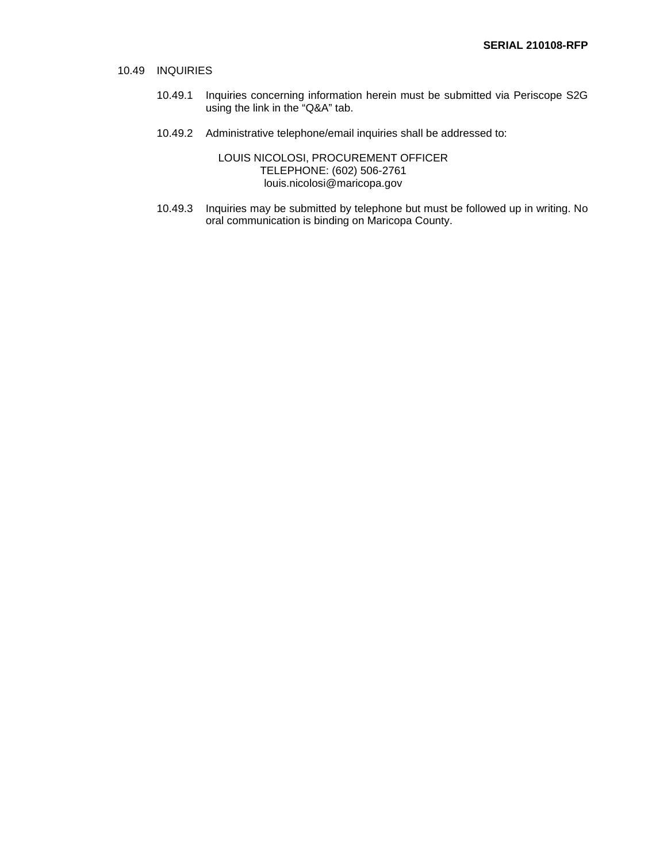### 10.49 INQUIRIES

- 10.49.1 Inquiries concerning information herein must be submitted via Periscope S2G using the link in the "Q&A" tab.
- 10.49.2 Administrative telephone/email inquiries shall be addressed to:

LOUIS NICOLOSI, PROCUREMENT OFFICER TELEPHONE: (602) 506-2761 louis.nicolosi@maricopa.gov

10.49.3 Inquiries may be submitted by telephone but must be followed up in writing. No oral communication is binding on Maricopa County.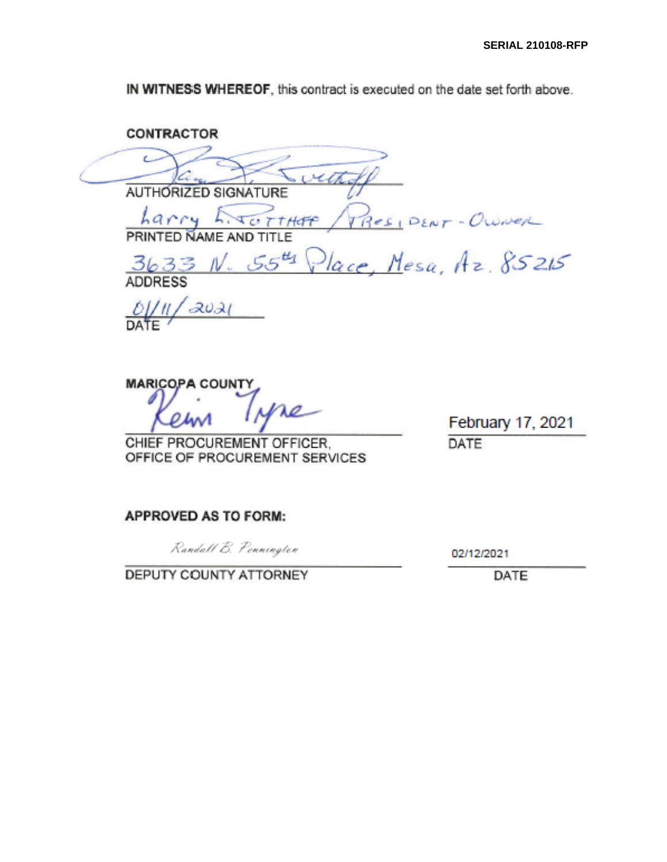IN WITNESS WHEREOF, this contract is executed on the date set forth above.

**CONTRACTOR** vitted **AUTHORIZED SIGNATURE**  $r_{RIV}$   $\overline{r_{GTHHF}}$   $\overline{r_{Res_1}}$   $\overline{r_{RIV}}$  Owner<br>PRINTED NAME AND TITLE<br>3633 N. 55<sup>4</sup>4 Place, Mesa, Az. 85215 harry E. CTHEF **ADDRESS**  $\frac{QU}{DA}$  $2021$ 

**MARICOPA COUNTY** 

CHIEF PROCUREMENT OFFICER. OFFICE OF PROCUREMENT SERVICES

February 17, 2021 DATE

## **APPROVED AS TO FORM:**

Randall B. Pennington

DEPUTY COUNTY ATTORNEY

02/12/2021

DATE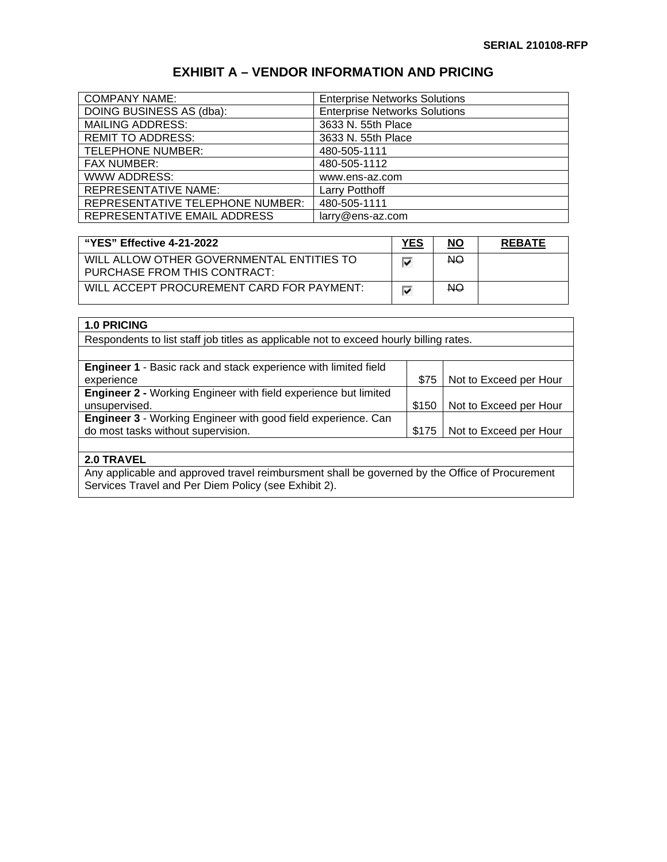## **EXHIBIT A – VENDOR INFORMATION AND PRICING**

| <b>COMPANY NAME:</b>                    | <b>Enterprise Networks Solutions</b> |
|-----------------------------------------|--------------------------------------|
| DOING BUSINESS AS (dba):                | <b>Enterprise Networks Solutions</b> |
| <b>MAILING ADDRESS:</b>                 | 3633 N. 55th Place                   |
| <b>REMIT TO ADDRESS:</b>                | 3633 N. 55th Place                   |
| <b>TELEPHONE NUMBER:</b>                | 480-505-1111                         |
| <b>FAX NUMBER:</b>                      | 480-505-1112                         |
| <b>WWW ADDRESS:</b>                     | www.ens-az.com                       |
| <b>REPRESENTATIVE NAME:</b>             | Larry Potthoff                       |
| <b>REPRESENTATIVE TELEPHONE NUMBER:</b> | 480-505-1111                         |
| REPRESENTATIVE EMAIL ADDRESS            | larry@ens-az.com                     |

| "YES" Effective 4-21-2022                                                 | <b>YES</b> | <u>NO</u> | <b>REBATE</b> |
|---------------------------------------------------------------------------|------------|-----------|---------------|
| WILL ALLOW OTHER GOVERNMENTAL ENTITIES TO<br>PURCHASE FROM THIS CONTRACT: | ⊽          | NO.       |               |
| WILL ACCEPT PROCUREMENT CARD FOR PAYMENT:                                 | ⊽          | <b>NO</b> |               |

| <b>1.0 PRICING</b> |  |
|--------------------|--|
|--------------------|--|

Respondents to list staff job titles as applicable not to exceed hourly billing rates.

| <b>Engineer 1 - Basic rack and stack experience with limited field</b> |       |                        |
|------------------------------------------------------------------------|-------|------------------------|
| experience                                                             | \$75  | Not to Exceed per Hour |
| <b>Engineer 2 - Working Engineer with field experience but limited</b> |       |                        |
| unsupervised.                                                          | \$150 | Not to Exceed per Hour |
| Engineer 3 - Working Engineer with good field experience. Can          |       |                        |
| do most tasks without supervision.                                     | \$175 | Not to Exceed per Hour |
|                                                                        |       |                        |

## **2.0 TRAVEL**

Any applicable and approved travel reimbursment shall be governed by the Office of Procurement Services Travel and Per Diem Policy (see Exhibit 2).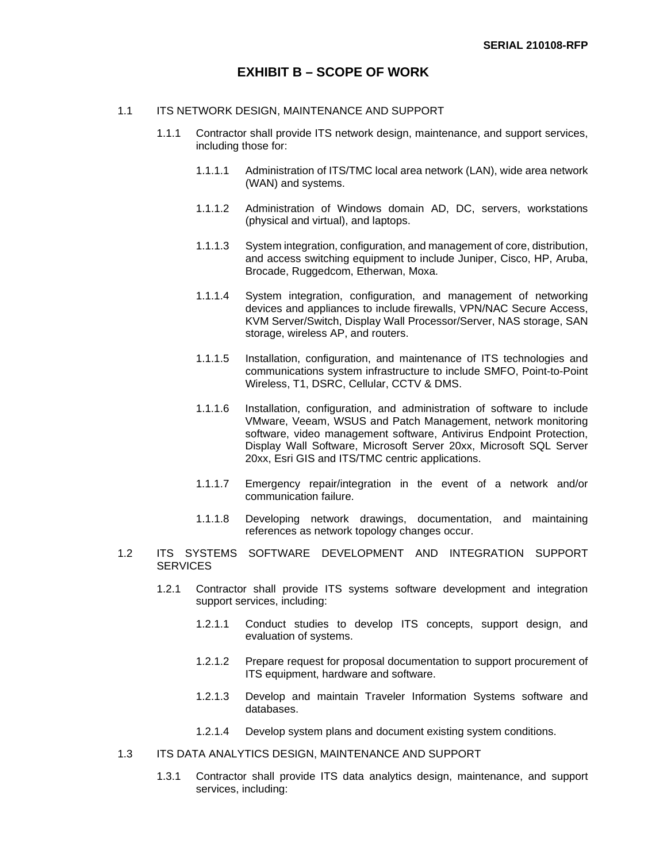## **EXHIBIT B – SCOPE OF WORK**

#### 1.1 ITS NETWORK DESIGN, MAINTENANCE AND SUPPORT

- 1.1.1 Contractor shall provide ITS network design, maintenance, and support services, including those for:
	- 1.1.1.1 Administration of ITS/TMC local area network (LAN), wide area network (WAN) and systems.
	- 1.1.1.2 Administration of Windows domain AD, DC, servers, workstations (physical and virtual), and laptops.
	- 1.1.1.3 System integration, configuration, and management of core, distribution, and access switching equipment to include Juniper, Cisco, HP, Aruba, Brocade, Ruggedcom, Etherwan, Moxa.
	- 1.1.1.4 System integration, configuration, and management of networking devices and appliances to include firewalls, VPN/NAC Secure Access, KVM Server/Switch, Display Wall Processor/Server, NAS storage, SAN storage, wireless AP, and routers.
	- 1.1.1.5 Installation, configuration, and maintenance of ITS technologies and communications system infrastructure to include SMFO, Point-to-Point Wireless, T1, DSRC, Cellular, CCTV & DMS.
	- 1.1.1.6 Installation, configuration, and administration of software to include VMware, Veeam, WSUS and Patch Management, network monitoring software, video management software, Antivirus Endpoint Protection, Display Wall Software, Microsoft Server 20xx, Microsoft SQL Server 20xx, Esri GIS and ITS/TMC centric applications.
	- 1.1.1.7 Emergency repair/integration in the event of a network and/or communication failure.
	- 1.1.1.8 Developing network drawings, documentation, and maintaining references as network topology changes occur.
- 1.2 ITS SYSTEMS SOFTWARE DEVELOPMENT AND INTEGRATION SUPPORT **SERVICES** 
	- 1.2.1 Contractor shall provide ITS systems software development and integration support services, including:
		- 1.2.1.1 Conduct studies to develop ITS concepts, support design, and evaluation of systems.
		- 1.2.1.2 Prepare request for proposal documentation to support procurement of ITS equipment, hardware and software.
		- 1.2.1.3 Develop and maintain Traveler Information Systems software and databases.
		- 1.2.1.4 Develop system plans and document existing system conditions.
- 1.3 ITS DATA ANALYTICS DESIGN, MAINTENANCE AND SUPPORT
	- 1.3.1 Contractor shall provide ITS data analytics design, maintenance, and support services, including: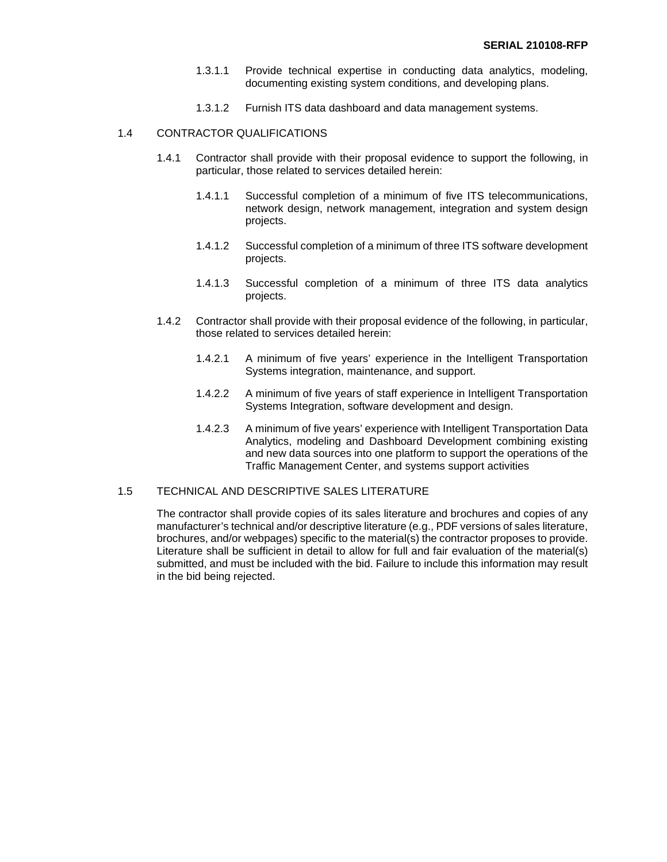- 1.3.1.1 Provide technical expertise in conducting data analytics, modeling, documenting existing system conditions, and developing plans.
- 1.3.1.2 Furnish ITS data dashboard and data management systems.

### 1.4 CONTRACTOR QUALIFICATIONS

- 1.4.1 Contractor shall provide with their proposal evidence to support the following, in particular, those related to services detailed herein:
	- 1.4.1.1 Successful completion of a minimum of five ITS telecommunications, network design, network management, integration and system design projects.
	- 1.4.1.2 Successful completion of a minimum of three ITS software development projects.
	- 1.4.1.3 Successful completion of a minimum of three ITS data analytics projects.
- 1.4.2 Contractor shall provide with their proposal evidence of the following, in particular, those related to services detailed herein:
	- 1.4.2.1 A minimum of five years' experience in the Intelligent Transportation Systems integration, maintenance, and support.
	- 1.4.2.2 A minimum of five years of staff experience in Intelligent Transportation Systems Integration, software development and design.
	- 1.4.2.3 A minimum of five years' experience with Intelligent Transportation Data Analytics, modeling and Dashboard Development combining existing and new data sources into one platform to support the operations of the Traffic Management Center, and systems support activities

## 1.5 TECHNICAL AND DESCRIPTIVE SALES LITERATURE

The contractor shall provide copies of its sales literature and brochures and copies of any manufacturer's technical and/or descriptive literature (e.g., PDF versions of sales literature, brochures, and/or webpages) specific to the material(s) the contractor proposes to provide. Literature shall be sufficient in detail to allow for full and fair evaluation of the material(s) submitted, and must be included with the bid. Failure to include this information may result in the bid being rejected.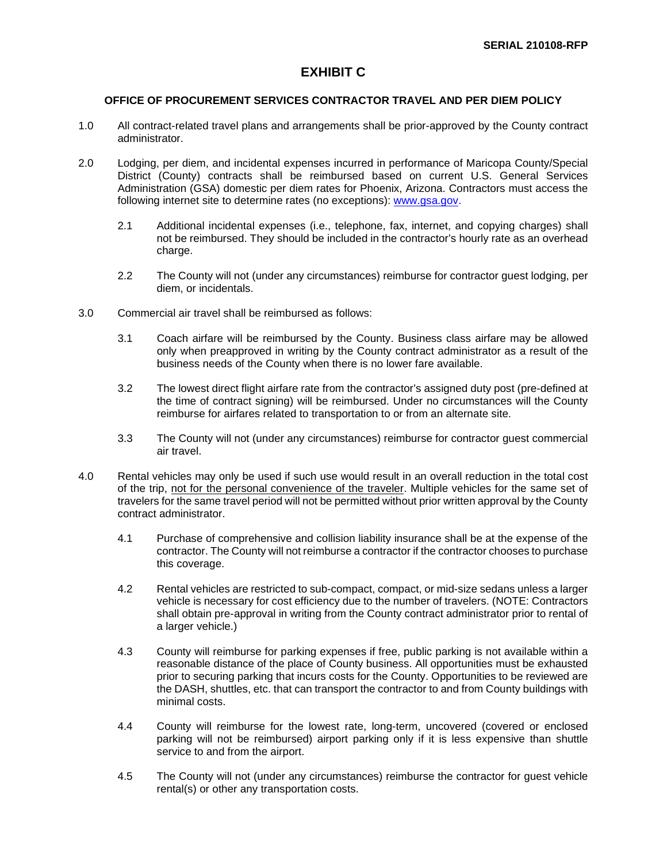## **EXHIBIT C**

## **OFFICE OF PROCUREMENT SERVICES CONTRACTOR TRAVEL AND PER DIEM POLICY**

- 1.0 All contract-related travel plans and arrangements shall be prior-approved by the County contract administrator.
- 2.0 Lodging, per diem, and incidental expenses incurred in performance of Maricopa County/Special District (County) contracts shall be reimbursed based on current U.S. General Services Administration (GSA) domestic per diem rates for Phoenix, Arizona. Contractors must access the following internet site to determine rates (no exceptions): [www.gsa.gov.](http://www.gsa.gov/)
	- 2.1 Additional incidental expenses (i.e., telephone, fax, internet, and copying charges) shall not be reimbursed. They should be included in the contractor's hourly rate as an overhead charge.
	- 2.2 The County will not (under any circumstances) reimburse for contractor guest lodging, per diem, or incidentals.
- 3.0 Commercial air travel shall be reimbursed as follows:
	- 3.1 Coach airfare will be reimbursed by the County. Business class airfare may be allowed only when preapproved in writing by the County contract administrator as a result of the business needs of the County when there is no lower fare available.
	- 3.2 The lowest direct flight airfare rate from the contractor's assigned duty post (pre-defined at the time of contract signing) will be reimbursed. Under no circumstances will the County reimburse for airfares related to transportation to or from an alternate site.
	- 3.3 The County will not (under any circumstances) reimburse for contractor guest commercial air travel.
- 4.0 Rental vehicles may only be used if such use would result in an overall reduction in the total cost of the trip, not for the personal convenience of the traveler. Multiple vehicles for the same set of travelers for the same travel period will not be permitted without prior written approval by the County contract administrator.
	- 4.1 Purchase of comprehensive and collision liability insurance shall be at the expense of the contractor. The County will not reimburse a contractor if the contractor chooses to purchase this coverage.
	- 4.2 Rental vehicles are restricted to sub-compact, compact, or mid-size sedans unless a larger vehicle is necessary for cost efficiency due to the number of travelers. (NOTE: Contractors shall obtain pre-approval in writing from the County contract administrator prior to rental of a larger vehicle.)
	- 4.3 County will reimburse for parking expenses if free, public parking is not available within a reasonable distance of the place of County business. All opportunities must be exhausted prior to securing parking that incurs costs for the County. Opportunities to be reviewed are the DASH, shuttles, etc. that can transport the contractor to and from County buildings with minimal costs.
	- 4.4 County will reimburse for the lowest rate, long-term, uncovered (covered or enclosed parking will not be reimbursed) airport parking only if it is less expensive than shuttle service to and from the airport.
	- 4.5 The County will not (under any circumstances) reimburse the contractor for guest vehicle rental(s) or other any transportation costs.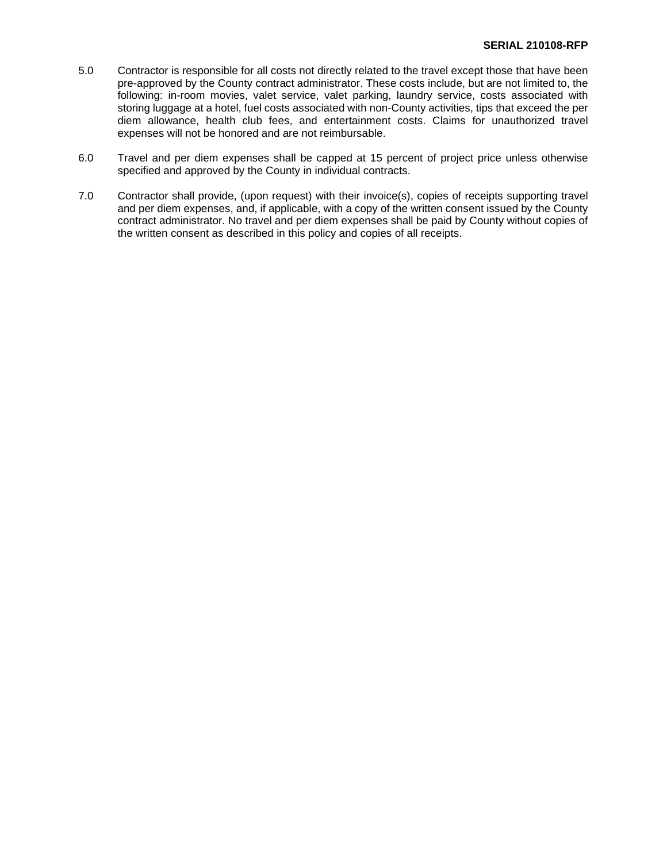- 5.0 Contractor is responsible for all costs not directly related to the travel except those that have been pre-approved by the County contract administrator. These costs include, but are not limited to, the following: in-room movies, valet service, valet parking, laundry service, costs associated with storing luggage at a hotel, fuel costs associated with non-County activities, tips that exceed the per diem allowance, health club fees, and entertainment costs. Claims for unauthorized travel expenses will not be honored and are not reimbursable.
- 6.0 Travel and per diem expenses shall be capped at 15 percent of project price unless otherwise specified and approved by the County in individual contracts.
- 7.0 Contractor shall provide, (upon request) with their invoice(s), copies of receipts supporting travel and per diem expenses, and, if applicable, with a copy of the written consent issued by the County contract administrator. No travel and per diem expenses shall be paid by County without copies of the written consent as described in this policy and copies of all receipts.